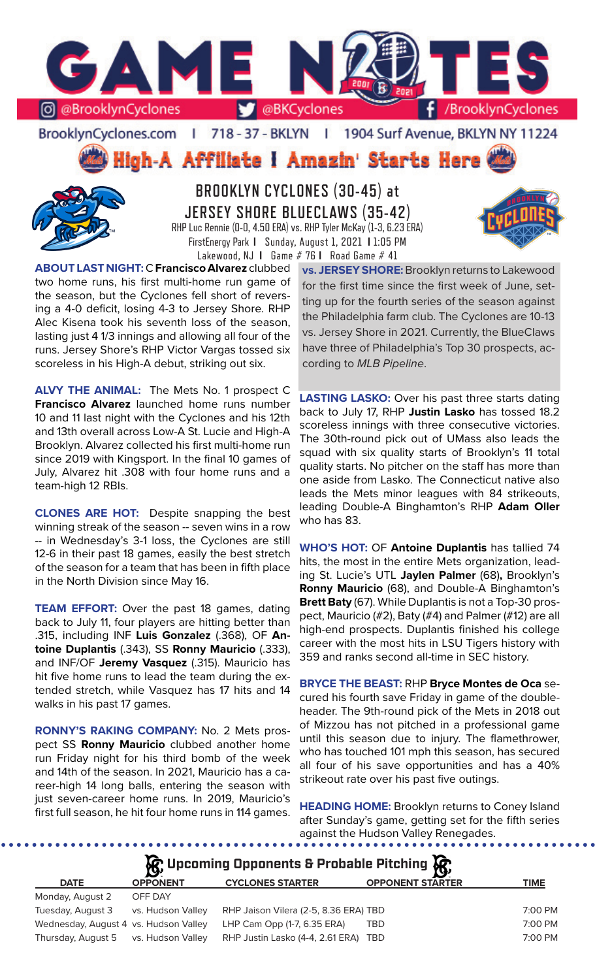

BrooklynCyclones.com | 718 - 37 - BKLYN  $\mathbf{r}$ 1904 Surf Avenue, BKLYN NY 11224

High-A Affiliate i Amazin' Starts Here



**BROOKLYN CYCLONES (30-45) at JERSEY SHORE BLUECLAWS (35-42)** RHP Luc Rennie (0-0, 4.50 ERA) vs. RHP Tyler McKay (1-3, 6.23 ERA) FirstEnergy Park **I** Sunday, August 1, 2021 **I** 1:05 PM Lakewood, NJ **I** Game # 76 **I** Road Game # 41

**ABOUT LAST NIGHT:** C **Francisco Alvarez** clubbed two home runs, his first multi-home run game of the season, but the Cyclones fell short of reversing a 4-0 deficit, losing 4-3 to Jersey Shore. RHP Alec Kisena took his seventh loss of the season, lasting just 4 1/3 innings and allowing all four of the runs. Jersey Shore's RHP Victor Vargas tossed six scoreless in his High-A debut, striking out six.

**ALVY THE ANIMAL:** The Mets No. 1 prospect C **Francisco Alvarez** launched home runs number 10 and 11 last night with the Cyclones and his 12th and 13th overall across Low-A St. Lucie and High-A Brooklyn. Alvarez collected his first multi-home run since 2019 with Kingsport. In the final 10 games of July, Alvarez hit .308 with four home runs and a team-high 12 RBIs.

**CLONES ARE HOT:** Despite snapping the best winning streak of the season -- seven wins in a row -- in Wednesday's 3-1 loss, the Cyclones are still 12-6 in their past 18 games, easily the best stretch of the season for a team that has been in fifth place in the North Division since May 16.

**TEAM EFFORT:** Over the past 18 games, dating back to July 11, four players are hitting better than .315, including INF **Luis Gonzalez** (.368), OF **Antoine Duplantis** (.343), SS **Ronny Mauricio** (.333), and INF/OF **Jeremy Vasquez** (.315). Mauricio has hit five home runs to lead the team during the extended stretch, while Vasquez has 17 hits and 14 walks in his past 17 games.

**RONNY'S RAKING COMPANY:** No. 2 Mets prospect SS **Ronny Mauricio** clubbed another home run Friday night for his third bomb of the week and 14th of the season. In 2021, Mauricio has a career-high 14 long balls, entering the season with just seven-career home runs. In 2019, Mauricio's first full season, he hit four home runs in 114 games.

**vs. JERSEY SHORE:** Brooklyn returns to Lakewood for the first time since the first week of June, setting up for the fourth series of the season against the Philadelphia farm club. The Cyclones are 10-13 vs. Jersey Shore in 2021. Currently, the BlueClaws have three of Philadelphia's Top 30 prospects, according to *MLB Pipeline*.

**LASTING LASKO:** Over his past three starts dating back to July 17, RHP **Justin Lasko** has tossed 18.2 scoreless innings with three consecutive victories. The 30th-round pick out of UMass also leads the squad with six quality starts of Brooklyn's 11 total quality starts. No pitcher on the staff has more than one aside from Lasko. The Connecticut native also leads the Mets minor leagues with 84 strikeouts, leading Double-A Binghamton's RHP **Adam Oller**  who has 83.

**WHO'S HOT:** OF **Antoine Duplantis** has tallied 74 hits, the most in the entire Mets organization, leading St. Lucie's UTL **Jaylen Palmer** (68)**,** Brooklyn's **Ronny Mauricio** (68), and Double-A Binghamton's **Brett Baty** (67). While Duplantis is not a Top-30 prospect, Mauricio (#2), Baty (#4) and Palmer (#12) are all high-end prospects. Duplantis finished his college career with the most hits in LSU Tigers history with 359 and ranks second all-time in SEC history.

**BRYCE THE BEAST:** RHP **Bryce Montes de Oca** secured his fourth save Friday in game of the doubleheader. The 9th-round pick of the Mets in 2018 out of Mizzou has not pitched in a professional game until this season due to injury. The flamethrower, who has touched 101 mph this season, has secured all four of his save opportunities and has a 40% strikeout rate over his past five outings.

**HEADING HOME:** Brooklyn returns to Coney Island after Sunday's game, getting set for the fifth series against the Hudson Valley Renegades.

|             |                 | $\mathcal{G}$ Upcoming Opponents & Probable Pitching $\mathcal{G}$ |                         |      |
|-------------|-----------------|--------------------------------------------------------------------|-------------------------|------|
| <b>DATE</b> | <b>OPPONENT</b> | <b>CYCLONES STARTER</b>                                            | <b>OPPONENT STARTER</b> | TIME |
|             |                 |                                                                    |                         |      |

| Monday, August 2                      | OFF DAY           |                                       |           |
|---------------------------------------|-------------------|---------------------------------------|-----------|
| Tuesday, August 3                     | vs. Hudson Valley | RHP Jaison Vilera (2-5, 8.36 ERA) TBD | 7:00 PM   |
| Wednesday, August 4 vs. Hudson Valley |                   | LHP Cam Opp (1-7, 6.35 ERA)<br>TBD    | $7:00$ PM |
| Thursday, August 5 vs. Hudson Valley  |                   | RHP Justin Lasko (4-4, 2.61 ERA) TBD  | 7:00 PM   |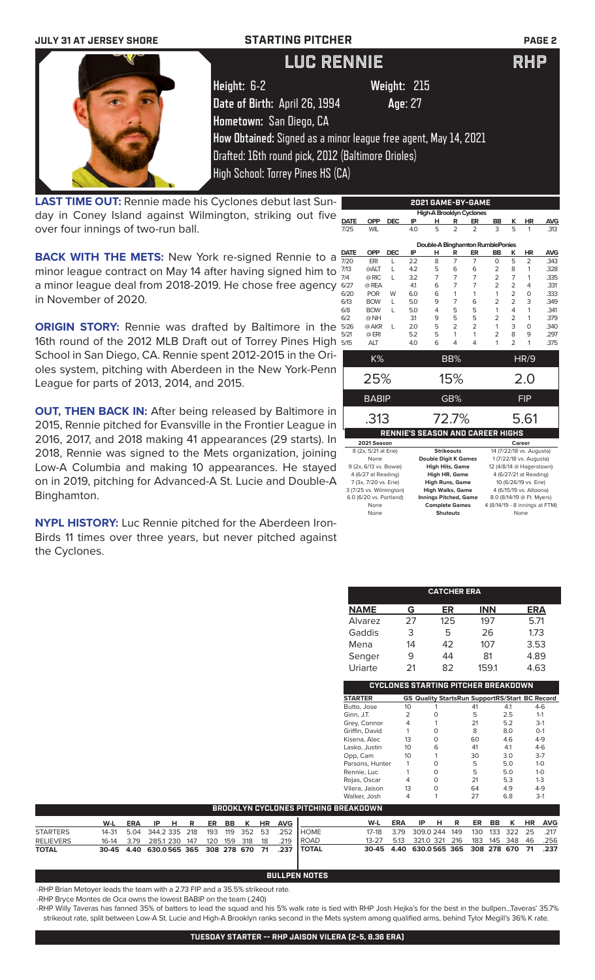| <b>JULY 31 AT JERSEY SHORE</b> | <b>STARTING PITCHER</b>                            |                                                                 | <b>PAGE 2</b> |
|--------------------------------|----------------------------------------------------|-----------------------------------------------------------------|---------------|
|                                | <b>LUC RENNIE</b>                                  |                                                                 | RHP           |
|                                | Height: 6-2                                        | Weight: 215                                                     |               |
|                                | Date of Birth: April 26, 1994                      | Age: 27                                                         |               |
|                                | Hometown: San Diego, CA                            |                                                                 |               |
|                                |                                                    | How Obtained: Signed as a minor league free agent, May 14, 2021 |               |
|                                | Drafted: 16th round pick, 2012 (Baltimore Orioles) |                                                                 |               |
|                                | High School: Torrey Pines HS (CA)                  |                                                                 |               |

**LAST TIME OUT:** Rennie made his Cyclones debut last Sunday in Coney Island against Wilmington, striking out five over four innings of two-run ball.

**BACK WITH THE METS:** New York re-signed Rennie to a  $\frac{1}{7}$ minor league contract on May 14 after having signed him to a minor league deal from 2018-2019. He chose free agency in November of 2020.

**ORIGIN STORY:** Rennie was drafted by Baltimore in the 16th round of the 2012 MLB Draft out of Torrey Pines High School in San Diego, CA. Rennie spent 2012-2015 in the Orioles system, pitching with Aberdeen in the New York-Penn League for parts of 2013, 2014, and 2015.

**OUT, THEN BACK IN:** After being released by Baltimore in 2015, Rennie pitched for Evansville in the Frontier League in 2016, 2017, and 2018 making 41 appearances (29 starts). In 2018, Rennie was signed to the Mets organization, joining Low-A Columbia and making 10 appearances. He stayed on in 2019, pitching for Advanced-A St. Lucie and Double-A Binghamton.

**NYPL HISTORY:** Luc Rennie pitched for the Aberdeen Iron-Birds 11 times over three years, but never pitched against the Cyclones.

|             |                         |            |     | , <b>.</b> .                 |                   | -----          |                                         |                |                           |            |
|-------------|-------------------------|------------|-----|------------------------------|-------------------|----------------|-----------------------------------------|----------------|---------------------------|------------|
|             |                         |            |     | High-A Brooklyn Cyclones     |                   |                |                                         |                |                           |            |
| <b>DATE</b> | <b>OPP</b>              | <b>DEC</b> | ΙP  | н                            | R                 | ER             | <b>BB</b>                               | ĸ              | HR                        | <b>AVG</b> |
| 7/25        | <b>WIL</b>              |            | 4.0 | 5                            | $\overline{2}$    | $\overline{2}$ | 3                                       | 5              | 1                         | .313       |
|             |                         |            |     |                              |                   |                |                                         |                |                           |            |
|             |                         |            |     |                              |                   |                | Double-A Binghamton RumblePonies        |                |                           |            |
| <b>DATE</b> | <b>OPP</b>              | <b>DEC</b> | ΙP  | н                            | R                 | ER             | <b>BB</b>                               | ĸ              | ΗR                        | <b>AVG</b> |
| 7/20        | ERI                     | L          | 22  | 8                            | 7                 | 7              | $\Omega$                                | 5              | 2                         | .343       |
| 7/13        | @ALT                    | L          | 4.2 | 5                            | 6                 | 6              | 2                                       | 8              | 1                         | .328       |
| 7/4         | @ RIC                   | L          | 3.2 | 7                            | 7                 | 7              | $\overline{2}$                          | 7              | 1                         | .335       |
| 6/27        | @ REA                   |            | 41  | 6                            | 7                 | 7              | $\overline{2}$                          | $\overline{2}$ | 4                         | .331       |
| 6/20        | <b>POR</b>              | W          | 6.0 | 6                            | 1                 | 1              | 1                                       | 2              | 0                         | .333       |
| 6/13        | <b>BOW</b>              | L          | 5.0 | 9                            | 7                 | 6              | $\overline{2}$                          | $\overline{2}$ | 3                         | .349       |
| 6/8         | <b>BOW</b>              | L          | 5.0 | 4                            | 5                 | 5              | 1                                       | 4              | 1                         | .341       |
| 6/2         | @ NH                    |            | 31  | 9                            | 5                 | 5              | $\overline{2}$                          | $\overline{2}$ | 1                         | .379       |
| 5/26        | @ AKR                   | L          | 2.0 | 5                            | $\overline{2}$    | $\overline{2}$ | 1                                       | 3              | 0                         | .340       |
| 5/21        | $@$ ERI                 |            | 5.2 | 5                            | 1                 | 1              | $\overline{2}$                          | 8              | 9                         | .297       |
| 5/15        | <b>ALT</b>              |            | 4.0 | 6                            | 4                 | 4              | 1                                       | $\mathfrak{D}$ | 1                         | .375       |
|             |                         |            |     |                              |                   |                |                                         |                |                           |            |
|             | K%                      |            |     |                              | BB%               |                |                                         |                | HR/9                      |            |
|             | 25%                     |            |     |                              | 15%               |                |                                         |                | 2.0                       |            |
|             |                         |            |     |                              |                   |                |                                         |                |                           |            |
|             | <b>BABIP</b>            |            |     |                              | GB%               |                |                                         |                | <b>FIP</b>                |            |
|             |                         |            |     |                              |                   |                |                                         |                |                           |            |
|             | .313                    |            |     |                              | 72.7%             |                |                                         |                | 5.61                      |            |
|             |                         |            |     |                              |                   |                | <b>RENNIE'S SEASON AND CAREER HIGHS</b> |                |                           |            |
|             | 2021 Season             |            |     |                              |                   |                |                                         |                | Career                    |            |
|             | 8 (2x, 5/21 at Erie)    |            |     |                              | <b>Strikeouts</b> |                |                                         |                | 14 (7/22/18 vs. Augusta)  |            |
|             | None                    |            |     | <b>Double Digit K Games</b>  |                   |                |                                         |                | 1 (7/22/18 vs. Augusta)   |            |
|             | 9 (2x, 6/13 vs. Bowie)  |            |     | <b>High Hits, Game</b>       |                   |                |                                         |                | 12 (4/8/14 @ Hagerstown)  |            |
|             | 4 (6/27 at Reading)     |            |     | <b>High HR, Game</b>         |                   |                |                                         |                | 4 (6/27/21 at Reading)    |            |
|             | 7 (3x, 7/20 vs. Erie)   |            |     | <b>High Runs, Game</b>       |                   |                |                                         |                | 10 (6/26/19 vs. Erie)     |            |
|             | 3 (7/25 vs. Wilmington) |            |     | <b>High Walks, Game</b>      |                   |                |                                         |                | 4 (6/15/19 vs. Altoona)   |            |
|             | 6.0 (6/20 vs. Portland) |            |     | <b>Innings Pitched, Game</b> |                   |                |                                         |                | 8.0 (8/14/19 @ Ft. Myers) |            |
|             | None<br>None            |            |     | <b>Complete Games</b>        |                   |                | 4 (8/14/19 - 8 innings at FTM)          |                |                           |            |
|             |                         |            |     |                              | <b>Shutouts</b>   |                |                                         |                | None                      |            |

**2021 GAME-BY-GAME**

|                |    | <b>CATCHER ERA</b>                         |            |                                                    |
|----------------|----|--------------------------------------------|------------|----------------------------------------------------|
| <b>NAME</b>    | G  | ER                                         | <b>INN</b> | ERA                                                |
| Alvarez        | 27 | 125                                        | 197        | 5.71                                               |
| Gaddis         | 3  | 5                                          | 26         | 1.73                                               |
| Mena           | 14 | 42                                         | 107        | 3.53                                               |
| Senger         | 9  | 44                                         | 81         | 4.89                                               |
| Uriarte        | 21 | 82                                         | 159.1      | 4.63                                               |
|                |    | <b>CYCLONES STARTING PITCHER BREAKDOWN</b> |            |                                                    |
| <b>STARTER</b> | GS |                                            |            | <b>Quality StartsRun SupportRS/Start BC Record</b> |
| Butto, Jose    | 10 |                                            | 41         | $4-6$<br>4.1                                       |
| Ginn, J.T.     | 2  | O                                          | 5          | 2.5<br>$1 - 1$                                     |
| Grey, Connor   | 4  |                                            | 21         | $3-1$<br>5.2                                       |
| Griffin, David |    | O                                          | 8          | 8.0<br>$O-1$                                       |
| Kisena, Alec   | 13 | 0                                          | 60         | $4 - 9$<br>4.6                                     |

1990, Lasko, Justin 10 1 6 41 4.1 4.6<br>
10 1 30 3.0 3.7<br>
10 1 30 5 5.0 1-0<br>
10 5 5.0 1-0<br>
10 5 5.0 1-0 0pp, Cam 10 1 30 3.0 3-7<br>
Parsons, Hunter 1 0 5 5.0 1-0<br>
Rennie, Luc 1 0 5 5.0 1-0

Rennie, Luc 1 0 5 5.0 1-0<br>
Rojas, Oscar 4 0 21 5.3 1-3

Vilera, Jaison 13 0 64 4.9 4-9

Parsons, Hunter 1 0<br>Rennie. Luc 1 0

Rojas, Oscar

|                  |                                        |      |               |  |                |       |             |      |            |                | Walker, Josh                         | 4    |                                             |    |     |       | 6.8            |    | $3-1$      |
|------------------|----------------------------------------|------|---------------|--|----------------|-------|-------------|------|------------|----------------|--------------------------------------|------|---------------------------------------------|----|-----|-------|----------------|----|------------|
|                  |                                        |      |               |  |                |       |             |      |            |                | BROOKLYN CYCLONES PITCHING BREAKDOWN |      |                                             |    |     |       |                |    |            |
|                  | W-L                                    | ERA  | IP HR         |  |                | ER BB |             | HR.  | <b>AVG</b> |                | W-L                                  | ERA  | IP.                                         | -н | R   | ER BB | K              | HR | <b>AVG</b> |
| <b>STARTERS</b>  | 14-31 5.04 344.2 335 218               |      |               |  | 193 119 352 53 |       |             |      | 252        | <b>I</b> HOME  | 17-18                                | 3.79 | 309.0 244                                   |    | 149 |       | 130 133 322 25 |    | .217       |
| <b>RELIEVERS</b> | 16-14                                  | 3.79 | 285.1 230 147 |  |                |       | 120 159 318 | - 18 | .219       | l ROAD         | $13 - 27$                            | 5.13 | 321.0 321                                   |    | 216 |       | 183 145 348 46 |    | .256       |
| <b>TOTAL</b>     | 30-45 4.40 630.0565 365 308 278 670 71 |      |               |  |                |       |             |      | .237       | <b>I TOTAL</b> |                                      |      | 30-45 4.40 630.0565 365 308 278 670 71 .237 |    |     |       |                |    |            |

### **BULLPEN NOTES**

-RHP Brian Metoyer leads the team with a 2.73 FIP and a 35.5% strikeout rate.

-RHP Bryce Montes de Oca owns the lowest BABIP on the team (.240)

-RHP Willy Taveras has fanned 35% of batters to lead the squad and his 5% walk rate is tied with RHP Josh Hejka's for the best in the bullpen...Taveras' 35.7% strikeout rate, split between Low-A St. Lucie and High-A Brooklyn ranks second in the Mets system among qualified arms, behind Tylor Megill's 36% K rate.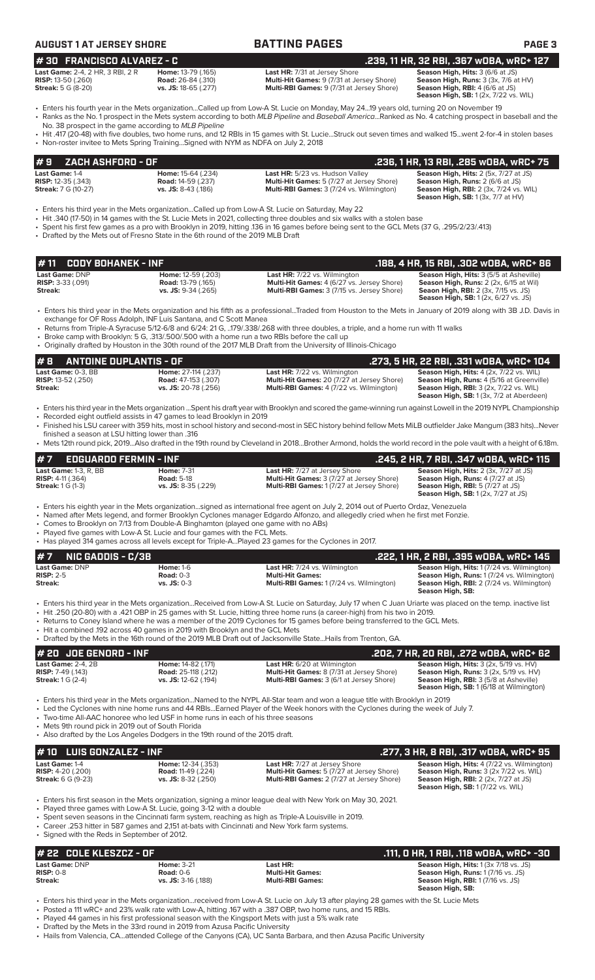| #30 FRANCISCO ALVAREZ - C<br>Last Game: 2-4, 2 HR, 3 RBI, 2 R<br><b>RISP:</b> 13-50 (.260)<br><b>Streak:</b> 5 G (8-20) | Home: 13-79 (.165)<br>Road: 26-84 (.310)<br>vs. JS: 18-65 (.277)                                                                                                      | Last HR: 7/31 at Jersey Shore<br>Multi-Hit Games: 9 (7/31 at Jersey Shore)<br>Multi-RBI Games: 9 (7/31 at Jersey Shore)                                                                                                                                                                                                                                                                                                                                              | .239, 11 HR, 32 RBI, .367 wOBA, wRC+ 127<br>Season High, Hits: 3 (6/6 at JS)<br>Season High, Runs: 3 (3x, 7/6 at HV)<br>Season High, RBI: 4 (6/6 at JS)<br><b>Season High, SB:</b> 1(2x, 7/22 vs. WIL) |
|-------------------------------------------------------------------------------------------------------------------------|-----------------------------------------------------------------------------------------------------------------------------------------------------------------------|----------------------------------------------------------------------------------------------------------------------------------------------------------------------------------------------------------------------------------------------------------------------------------------------------------------------------------------------------------------------------------------------------------------------------------------------------------------------|--------------------------------------------------------------------------------------------------------------------------------------------------------------------------------------------------------|
|                                                                                                                         | No. 38 prospect in the game according to MLB Pipeline<br>• Non-roster invitee to Mets Spring Training Signed with NYM as NDFA on July 2, 2018                         | • Enters his fourth year in the Mets organizationCalled up from Low-A St. Lucie on Monday, May 2419 years old, turning 20 on November 19<br>• Ranks as the No. 1 prospect in the Mets system according to both MLB Pipeline and Baseball AmericaRanked as No. 4 catching prospect in baseball and the<br>• Hit .417 (20-48) with five doubles, two home runs, and 12 RBIs in 15 games with St. LucieStruck out seven times and walked 15went 2-for-4 in stolen bases |                                                                                                                                                                                                        |
|                                                                                                                         |                                                                                                                                                                       |                                                                                                                                                                                                                                                                                                                                                                                                                                                                      |                                                                                                                                                                                                        |
| ZACH ASHFORD - OF<br>#9<br>Last Game: 1-4                                                                               | Home: 15-64 (.234)                                                                                                                                                    | Last HR: 5/23 vs. Hudson Valley                                                                                                                                                                                                                                                                                                                                                                                                                                      | .236, 1 HR, 13 RBI, .285 wOBA, wRC+ 75<br>Season High, Hits: 2 (5x, 7/27 at JS)                                                                                                                        |
| <b>RISP:</b> 12-35 (.343)<br><b>Streak:</b> 7 G (10-27)                                                                 | <b>Road: 14-59 (.237)</b><br>vs. JS: 8-43 (.186)                                                                                                                      | Multi-Hit Games: 5 (7/27 at Jersey Shore)<br>Multi-RBI Games: 3 (7/24 vs. Wilmington)                                                                                                                                                                                                                                                                                                                                                                                | Season High, Runs: 2 (6/6 at JS)<br><b>Season High, RBI:</b> 2 (3x, 7/24 vs. WIL)<br><b>Season High, SB: 1 (3x, 7/7 at HV)</b>                                                                         |
|                                                                                                                         | • Drafted by the Mets out of Fresno State in the 6th round of the 2019 MLB Draft                                                                                      | • Enters his third year in the Mets organizationCalled up from Low-A St. Lucie on Saturday, May 22<br>• Hit .340 (17-50) in 14 games with the St. Lucie Mets in 2021, collecting three doubles and six walks with a stolen base<br>• Spent his first few games as a pro with Brooklyn in 2019, hitting .136 in 16 games before being sent to the GCL Mets (37 G, .295/2/23/.413)                                                                                     |                                                                                                                                                                                                        |
| # 11<br><b>CODY BOHANEK - INF</b>                                                                                       |                                                                                                                                                                       |                                                                                                                                                                                                                                                                                                                                                                                                                                                                      | .188, 4 HR, 15 RBI, .302 w0BA, wRC+ 86                                                                                                                                                                 |
| Last Game: DNP<br>RISP: 3-33 (.091)<br><b>Streak:</b>                                                                   | Home: 12-59 (.203)<br><b>Road: 13-79 (.165)</b><br>vs. JS: 9-34 (.265)                                                                                                | Last HR: 7/22 vs. Wilmington<br>Multi-Hit Games: 4 (6/27 vs. Jersey Shore)<br>Multi-RBI Games: 3 (7/15 vs. Jersey Shore)                                                                                                                                                                                                                                                                                                                                             | Season High, Hits: 3 (5/5 at Asheville)<br>Season High, Runs: 2 (2x, 6/15 at Wil)<br>Seaon High, RBI: 2 (3x, 7/15 vs. JS)<br><b>Season High, SB:</b> 1 (2x, 6/27 vs. JS)                               |
|                                                                                                                         | exchange for OF Ross Adolph, INF Luis Santana, and C Scott Manea<br>• Broke camp with Brooklyn: 5 G, .313/.500/.500 with a home run a two RBIs before the call up     | • Enters his third year in the Mets organization and his fifth as a professionalTraded from Houston to the Mets in January of 2019 along with 3B J.D. Davis in<br>• Returns from Triple-A Syracuse 5/12-6/8 and 6/24: 21 G, 179/.338/.268 with three doubles, a triple, and a home run with 11 walks<br>• Originally drafted by Houston in the 30th round of the 2017 MLB Draft from the University of Illinois-Chicago                                              |                                                                                                                                                                                                        |
| #8<br><b>ANTOINE DUPLANTIS - OF</b>                                                                                     |                                                                                                                                                                       |                                                                                                                                                                                                                                                                                                                                                                                                                                                                      | .273, 5 HR, 22 RBI, .331 wOBA, wRC+ 104                                                                                                                                                                |
| Last Game: 0-3, BB<br>RISP: 13-52 (.250)<br>Streak:                                                                     | Home: 27-114 (.237)<br><b>Road: 47-153 (.307)</b><br>vs. JS: 20-78 (.256)                                                                                             | <b>Last HR:</b> 7/22 vs. Wilmington<br>Multi-Hit Games: 20 (7/27 at Jersey Shore)<br>Multi-RBI Games: 4 (7/22 vs. Wilmington)                                                                                                                                                                                                                                                                                                                                        | Season High, Hits: 4 (2x, 7/22 vs. WIL)<br>Season High, Runs: 4 (5/16 at Greenville)<br><b>Season High, RBI:</b> 3 (2x, 7/22 vs. WIL)<br>Season High, SB: 1 (3x, 7/2 at Aberdeen)                      |
| finished a season at LSU hitting lower than .316                                                                        | • Recorded eight outfield assists in 47 games to lead Brooklyn in 2019                                                                                                | · Enters his third year in the Mets organization Spent his draft year with Brooklyn and scored the game-winning run against Lowell in the 2019 NYPL Championship<br>• Finished his LSU career with 359 hits, most in school history and second-most in SEC history behind fellow Mets MiLB outfielder Jake Mangum (383 hits)Never                                                                                                                                    |                                                                                                                                                                                                        |
|                                                                                                                         |                                                                                                                                                                       | • Mets 12th round pick, 2019Also drafted in the 19th round by Cleveland in 2018Brother Armond, holds the world record in the pole vault with a height of 6.18m.                                                                                                                                                                                                                                                                                                      |                                                                                                                                                                                                        |
| #7<br><b>EDGUARDO FERMIN - INF</b>                                                                                      |                                                                                                                                                                       |                                                                                                                                                                                                                                                                                                                                                                                                                                                                      | .245, 2 HR, 7 RBI, .347 wOBA, wRC+ 115                                                                                                                                                                 |
| Last Game: 1-3, R, BB<br><b>RISP: 4-11 (.364)</b><br><b>Streak: 1 G (1-3)</b>                                           | <b>Home: 7-31</b><br><b>Road: 5-18</b><br>vs. JS: 8-35 (.229)                                                                                                         | Last HR: 7/27 at Jersey Shore<br>Multi-Hit Games: 3 (7/27 at Jersey Shore)<br>Multi-RBI Games: 1 (7/27 at Jersey Shore)                                                                                                                                                                                                                                                                                                                                              | Season High, Hits: 2 (3x, 7/27 at JS)<br><b>Season High, Runs: 4 (7/27 at JS)</b><br><b>Season High, RBI: 5 (7/27 at JS)</b><br>Season High, SB: 1 (2x, 7/27 at JS)                                    |
|                                                                                                                         | • Comes to Brooklyn on 7/13 from Double-A Binghamton (played one game with no ABs)<br>• Played five games with Low-A St. Lucie and four games with the FCL Mets.      | • Enters his eighth year in the Mets organizationsigned as international free agent on July 2, 2014 out of Puerto Ordaz, Venezuela<br>• Named after Mets legend, and former Brooklyn Cyclones manager Edgardo Alfonzo, and allegedly cried when he first met Fonzie.<br>• Has played 314 games across all levels except for Triple-APlayed 23 games for the Cyclones in 2017.                                                                                        |                                                                                                                                                                                                        |
| #7<br><b>NIC GADDIS - C/3B</b>                                                                                          |                                                                                                                                                                       |                                                                                                                                                                                                                                                                                                                                                                                                                                                                      | .222, 1 HR, 2 RBI, .395 WOBA, WRC+ 145                                                                                                                                                                 |
| Last Game: DNP<br><b>RISP: 2-5</b><br><b>Streak:</b>                                                                    | <b>Home: 1-6</b><br><b>Road: 0-3</b><br>$vs.$ JS: $0-3$                                                                                                               | <b>Last HR:</b> 7/24 vs. Wilmington<br><b>Multi-Hit Games:</b><br>Multi-RBI Games: 1 (7/24 vs. Wilmington)                                                                                                                                                                                                                                                                                                                                                           | Season High, Hits: 1 (7/24 vs. Wilmington)<br>Season High, Runs: 1 (7/24 vs. Wilmington)<br>Season High, RBI: 2 (7/24 vs. Wilmington)<br>Season High, SB:                                              |
|                                                                                                                         | • Hit a combined .192 across 40 games in 2019 with Brooklyn and the GCL Mets                                                                                          | • Enters his third year in the Mets organizationReceived from Low-A St. Lucie on Saturday, July 17 when C Juan Uriarte was placed on the temp. inactive list<br>. Hit .250 (20-80) with a .421 OBP in 25 games with St. Lucie, hitting three home runs (a career-high) from his two in 2019.<br>• Returns to Coney Island where he was a member of the 2019 Cyclones for 15 games before being transferred to the GCL Mets.                                          |                                                                                                                                                                                                        |
|                                                                                                                         |                                                                                                                                                                       | • Drafted by the Mets in the 16th round of the 2019 MLB Draft out of Jacksonville StateHails from Trenton, GA.                                                                                                                                                                                                                                                                                                                                                       |                                                                                                                                                                                                        |
| # 20 JOE GENORD - INF<br>Last Game: 2-4, 2B                                                                             | Home: 14-82 (.171)                                                                                                                                                    | Last HR: 6/20 at Wilmington                                                                                                                                                                                                                                                                                                                                                                                                                                          | .202, 7 HR, 20 RBI, .272 w0BA, wRC+ 62<br>Season High, Hits: 3 (2x, 5/19 vs. HV)                                                                                                                       |
| <b>RISP:</b> 7-49 (.143)<br><b>Streak:</b> 1 G (2-4)                                                                    | <b>Road:</b> 25-118 (.212)<br>vs. JS: 12-62 (.194)                                                                                                                    | Multi-Hit Games: 8 (7/31 at Jersey Shore)<br><b>Multi-RBI Games:</b> 3 (6/1 at Jersey Shore)                                                                                                                                                                                                                                                                                                                                                                         | <b>Season High, Runs:</b> 3 (2x, 5/19 vs. HV)<br><b>Season High, RBI:</b> 3 (5/8 at Asheville)<br><b>Season High, SB: 1 (6/18 at Wilmington)</b>                                                       |
| • Mets 9th round pick in 2019 out of South Florida                                                                      | • Two-time All-AAC honoree who led USF in home runs in each of his three seasons<br>• Also drafted by the Los Angeles Dodgers in the 19th round of the 2015 draft.    | • Enters his third year in the Mets organizationNamed to the NYPL All-Star team and won a league title with Brooklyn in 2019<br>• Led the Cyclones with nine home runs and 44 RBIsEarned Player of the Week honors with the Cyclones during the week of July 7.                                                                                                                                                                                                      |                                                                                                                                                                                                        |
| <b>LUIS GONZALEZ - INF</b><br># 10                                                                                      |                                                                                                                                                                       |                                                                                                                                                                                                                                                                                                                                                                                                                                                                      | .277, 3 HR, 8 RBI, .317 wOBA, wRC+ 95                                                                                                                                                                  |
| Last Game: 1-4<br><b>RISP:</b> 4-20 (.200)<br><b>Streak:</b> 6 G (9-23)                                                 | Home: 12-34 (.353)<br><b>Road: 11-49 (.224)</b><br>vs. JS: 8-32 (.250)                                                                                                | Last HR: 7/27 at Jersey Shore<br>Multi-Hit Games: 5 (7/27 at Jersey Shore)<br>Multi-RBI Games: 2 (7/27 at Jersey Shore)                                                                                                                                                                                                                                                                                                                                              | Season High, Hits: 4 (7/22 vs. Wilmington)<br>Season High, Runs: 3 (2x 7/22 vs. WIL)<br><b>Season High, RBI:</b> 2 (2x, 7/27 at JS)<br><b>Season High, SB:</b> 1 (7/22 vs. WIL)                        |
| • Signed with the Reds in September of 2012.                                                                            | • Played three games with Low-A St. Lucie, going 3-12 with a double<br>• Career .253 hitter in 587 games and 2,151 at-bats with Cincinnati and New York farm systems. | • Enters his first season in the Mets organization, signing a minor league deal with New York on May 30, 2021.<br>• Spent seven seasons in the Cincinnati farm system, reaching as high as Triple-A Louisville in 2019.                                                                                                                                                                                                                                              |                                                                                                                                                                                                        |
| 22 COLE KLESZCZ - OF                                                                                                    |                                                                                                                                                                       |                                                                                                                                                                                                                                                                                                                                                                                                                                                                      | .111, O HR, 1 RBI, .118 wOBA, wRC+ -30                                                                                                                                                                 |
| Last Game: DNP                                                                                                          | <b>Home: 3-21</b>                                                                                                                                                     | Last HR:                                                                                                                                                                                                                                                                                                                                                                                                                                                             | Season High, Hits: 1 (3x 7/18 vs. JS)                                                                                                                                                                  |

**AUGUST 1 AT JERSEY SHORE BATTING PAGES PAGE 3**

**Streak: vs. JS:** 3-16 (.188) **Multi-RBI Games: Season High, RBI:** 1 (7/16 vs. JS) **Season High, SB:** 

**RISP:** 0-8 **Road:** 0-6 **Multi-Hit Games: Season High, Runs:** 1 (7/16 vs. JS)

• Enters his third year in the Mets organization...received from Low-A St. Lucie on July 13 after playing 28 games with the St. Lucie Mets • Posted a 111 wRC+ and 23% walk rate with Low-A, hitting .167 with a .387 OBP, two home runs, and 15 RBIs.

• Played 44 games in his first professional season with the Kingsport Mets with just a 5% walk rate

• Drafted by the Mets in the 33rd round in 2019 from Azusa Pacific University

• Hails from Valencia, CA...attended College of the Canyons (CA), UC Santa Barbara, and then Azusa Pacific University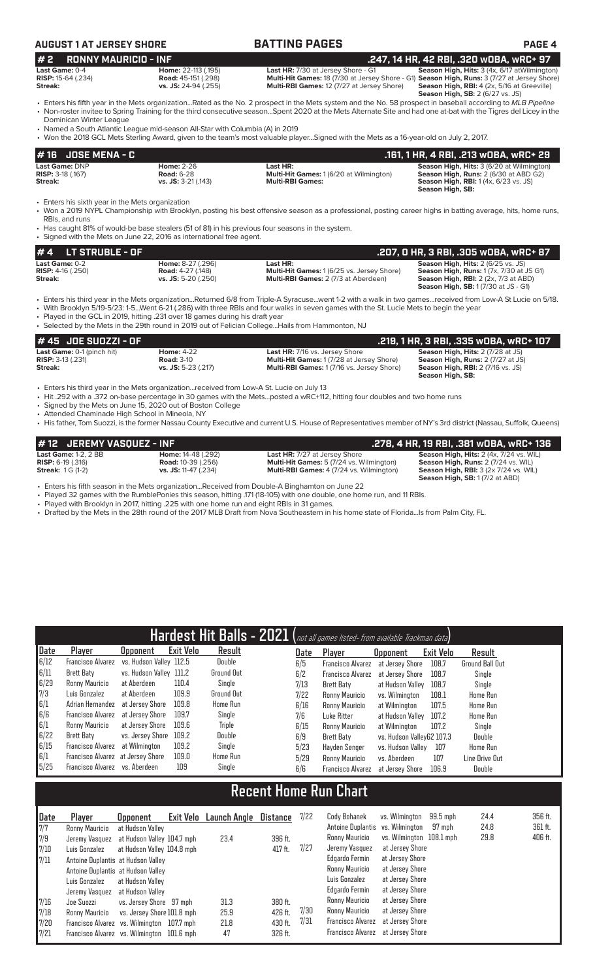| <b>AUGUST 1 AT JERSEY SHORE</b>                                    |                                                                                                                                                                        | <b>BATTING PAGES</b>                                                                                                                                                                                                                                                                                                              | <b>PAGE 4</b>                                                                                                                                                                                                                          |
|--------------------------------------------------------------------|------------------------------------------------------------------------------------------------------------------------------------------------------------------------|-----------------------------------------------------------------------------------------------------------------------------------------------------------------------------------------------------------------------------------------------------------------------------------------------------------------------------------|----------------------------------------------------------------------------------------------------------------------------------------------------------------------------------------------------------------------------------------|
| #2<br><b>RONNY MAURICIO - INF</b>                                  |                                                                                                                                                                        |                                                                                                                                                                                                                                                                                                                                   | .247, 14 HR, 42 RBI, .320 WOBA, WRC+ 97                                                                                                                                                                                                |
| Last Game: 0-4<br><b>RISP: 15-64 (.234)</b><br>Streak:             | Home: 22-113 (.195)<br><b>Road:</b> 45-151 (.298)<br>vs. JS: 24-94 (.255)                                                                                              | Last HR: 7/30 at Jersey Shore - G1<br><b>Multi-RBI Games: 12 (7/27 at Jersey Shore)</b>                                                                                                                                                                                                                                           | Season High, Hits: 3 (4x, 6/17 at Wilmington)<br>Multi-Hit Games: 18 (7/30 at Jersey Shore - G1) Season High, Runs: 3 (7/27 at Jersey Shore)<br>Season High, RBI: 4 (2x, 5/16 at Greeville)<br><b>Season High, SB: 2 (6/27 vs. JS)</b> |
| Dominican Winter League                                            |                                                                                                                                                                        | • Enters his fifth year in the Mets organizationRated as the No. 2 prospect in the Mets system and the No. 58 prospect in baseball according to MLB Pipeline<br>• Non-roster invitee to Spring Training for the third consecutive seasonSpent 2020 at the Mets Alternate Site and had one at-bat with the Tigres del Licey in the |                                                                                                                                                                                                                                        |
|                                                                    | • Named a South Atlantic League mid-season All-Star with Columbia (A) in 2019                                                                                          | • Won the 2018 GCL Mets Sterling Award, given to the team's most valuable playerSigned with the Mets as a 16-year-old on July 2, 2017.                                                                                                                                                                                            |                                                                                                                                                                                                                                        |
| $# 16$ JOSE MENA - C                                               |                                                                                                                                                                        |                                                                                                                                                                                                                                                                                                                                   | .161, 1 HR, 4 RBI, .213 wOBA, wRC+ 29                                                                                                                                                                                                  |
| Last Game: DNP<br><b>RISP: 3-18 (.167)</b><br>Streak:              | <b>Home: 2-26</b><br><b>Road: 6-28</b><br>$vs.$ JS: 3-21 (.143)                                                                                                        | Last HR:<br><b>Multi-Hit Games: 1(6/20 at Wilmington)</b><br><b>Multi-RBI Games:</b>                                                                                                                                                                                                                                              | Season High, Hits: 3 (6/20 at Wilmington)<br><b>Season High, Runs: 2 (6/30 at ABD G2)</b><br><b>Season High, RBI:</b> 1(4x, 6/23 vs. JS)<br>Season High, SB:                                                                           |
| • Enters his sixth year in the Mets organization<br>RBIs, and runs | • Has caught 81% of would-be base stealers (51 of 81) in his previous four seasons in the system.<br>Signed with the Mets on June 22, 2016 as international free agent | • Won a 2019 NYPL Championship with Brooklyn, posting his best offensive season as a professional, posting career highs in batting average, hits, home runs,                                                                                                                                                                      |                                                                                                                                                                                                                                        |

RBI:<br>Has • Signed with the Mets on June 22, 2016 as international free agent.

| $\#$ 4 LT STRUBLE - OF                              |                                                      |                                                               | .207, 0 HR, 3 RBI, .305 w0BA, wRC+ 87                                                              |
|-----------------------------------------------------|------------------------------------------------------|---------------------------------------------------------------|----------------------------------------------------------------------------------------------------|
| <b>Last Game: 0-2</b><br><b>RISP:</b> $4-16$ (.250) | <b>Home: 8-27 (.296)</b><br><b>Road: 4-27 (.148)</b> | Last HR:<br><b>Multi-Hit Games: 1 (6/25 vs. Jersey Shore)</b> | <b>Season High, Hits: 2 (6/25 vs. JS)</b><br><b>Season High, Runs: 1 (7x, 7/30 at JS G1)</b>       |
| Streak:                                             | <b>vs. JS:</b> 5-20 (.250)                           | <b>Multi-RBI Games: 2 (7/3 at Aberdeen)</b>                   | <b>Season High, RBI:</b> $2$ ( $2x$ , $7/3$ at ABD)<br><b>Season High, SB:</b> 1 (7/30 at JS - G1) |

• Enters his third year in the Mets organization...Returned 6/8 from Triple-A Syracuse...went 1-2 with a walk in two games...received from Low-A St Lucie on 5/18.

• With Brooklyn 5/19-5/23: 1-5...Went 6-21 (.286) with three RBIs and four walks in seven games with the St. Lucie Mets to begin the year

Played in the GCL in 2019, hitting .231 over 18 games during his draft year

• Selected by the Mets in the 29th round in 2019 out of Felician College...Hails from Hammonton, NJ

| # 45 JOE SUOZZI - OF           |                     |                                                  | .219, 1 HR, 3 RBI, .335 wOBA, wRC+ 107   |
|--------------------------------|---------------------|--------------------------------------------------|------------------------------------------|
| Last Game: 0-1 (pinch hit)     | <b>Home: 4-22</b>   | <b>Last HR: 7/16 vs. Jersey Shore</b>            | <b>Season High, Hits: 2 (7/28 at JS)</b> |
| <b>RISP:</b> $3-13$ ( $.231$ ) | <b>Road: 3-10</b>   | <b>Multi-Hit Games: 1 (7/28 at Jersey Shore)</b> | <b>Season High, Runs: 2 (7/27 at JS)</b> |
| Streak:                        | vs. JS: 5-23 (.217) | <b>Multi-RBI Games: 1(7/16 vs. Jersey Shore)</b> | <b>Season High, RBI:</b> 2 (7/16 vs. JS) |
|                                |                     |                                                  | Season High, SB:                         |

• Enters his third year in the Mets organization...received from Low-A St. Lucie on July 13

• Hit .292 with a .372 on-base percentage in 30 games with the Mets...posted a wRC+112, hitting four doubles and two home runs

• Signed by the Mets on June 15, 2020 out of Boston College

• Attended Chaminade High School in Mineola, NY

• His father, Tom Suozzi, is the former Nassau County Executive and current U.S. House of Representatives member of NY's 3rd district (Nassau, Suffolk, Queens)

| #12 JEREMY VASQUEZ - INF       |                             |                                                 | .278, 4 HR, 19 RBI, .381 wOBA, wRC+ 136              |
|--------------------------------|-----------------------------|-------------------------------------------------|------------------------------------------------------|
| <b>Last Game: 1-2, 2 BB</b>    | <b>Home: 14-48 (.292)</b>   | <b>Last HR:</b> 7/27 at Jersey Shore            | Season High, Hits: 2 (4x, 7/24 vs. WIL)              |
| <b>RISP:</b> $6-19$ ( $.316$ ) | <b>Road:</b> 10-39 (.256)   | <b>Multi-Hit Games:</b> 5 (7/24 vs. Wilmington) | <b>Season High, Runs: 2 (7/24 vs. WIL)</b>           |
| <b>Streak: 1G (1-2)</b>        | <b>vs. JS:</b> 11-47 (.234) | <b>Multi-RBI Games:</b> 4 (7/24 vs. Wilmington) | <b>Season High, RBI:</b> $3$ ( $2x$ 7/ $24$ vs. WIL) |
|                                |                             |                                                 | <b>Season High, SB: 1 (7/2 at ABD)</b>               |

• Enters his fifth season in the Mets organization...Received from Double-A Binghamton on June 22

• Played 32 games with the RumblePonies this season, hitting .171 (18-105) with one double, one home run, and 11 RBIs.

• Played with Brooklyn in 2017, hitting .225 with one home run and eight RBIs in 31 games.

• Drafted by the Mets in the 28th round of the 2017 MLB Draft from Nova Southeastern in his home state of Florida...Is from Palm City, FL.

|      |                                   |                         |           |                   |      | Hardest Hit Balls - 2021 (not all games listed- from available Trackman data) |                           |           |                 |
|------|-----------------------------------|-------------------------|-----------|-------------------|------|-------------------------------------------------------------------------------|---------------------------|-----------|-----------------|
| Date | Player                            | Upponent                | Exit Velo | Result            | Date | Player                                                                        | <b>Opponent</b>           | Exit Velo | Result          |
| 6/12 | Francisco Alvarez                 | vs. Hudson Valley 112.5 |           | Double            | 6/5  | <b>Francisco Alvarez</b>                                                      | at Jersev Shore           | 108.7     | Ground Ball Out |
| 6/11 | Brett Baty                        | vs. Hudson Valley 111.2 |           | <b>Ground Out</b> | 6/2  | <b>Francisco Alvarez</b>                                                      | at Jersev Shore           | 108.7     | Single          |
| 6/29 | Ronny Mauricio                    | at Aberdeen             | 110.4     | Single            | 7/13 | Brett Baty                                                                    | at Hudson Valley          | 108.7     | Single          |
| 7/3  | Luis Gonzalez                     | at Aberdeen             | 109.9     | <b>Ground Out</b> | 7/22 | Ronny Mauricio                                                                | vs. Wilminaton            | 108.1     | Home Run        |
| 6/1  | Adrian Hernandez                  | at Jersev Shore         | 109.8     | Home Run          | 6/16 | Ronny Mauricio                                                                | at Wilmington             | 107.5     | Home Run        |
| 6/6  | Francisco Alvarez                 | at Jersev Shore         | 109.7     | Single            | 7/6  | Luke Ritter                                                                   | at Hudson Vallev          | 107.2     | Home Run        |
| 6/1  | Ronny Mauricio                    | at Jersev Shore         | 109.6     | Triple            | 6/15 | Ronny Mauricio                                                                | at Wilmington             | 107.2     | Single          |
| 6/22 | Brett Baty                        | vs. Jersey Shore 109.2  |           | Double            | 6/9  | Brett Baty                                                                    | vs. Hudson VallevG2 107.3 |           | Double          |
| 6/15 | Francisco Alvarez                 | at Wilmington           | 109.2     | Single            | 5/23 | Havden Senger                                                                 | vs. Hudson Valley         | 107       | Home Run        |
| 6/1  | Francisco Alvarez at Jersey Shore |                         | 109.0     | Home Run          | 5/29 | Ronny Mauricio                                                                | vs. Aberdeen              | 107       | Line Drive Out  |
| 5/25 | Francisco Alvarez                 | vs. Aberdeen            | 109       | Single            | 6/6  | <b>Francisco Alvarez</b>                                                      | at Jersev Shore           | 106.9     | Double          |

# **Recent Home Run Chart**

| Date          | Player                                     | <b>Opponent</b>                                | Exit Velo Launch Angle | Distance | 7/22 | Cody Bohanek                                       | vs. Wilmington           | 99.5 mph | 24.4<br>24.8 | 356 ft.<br>361 ft. |
|---------------|--------------------------------------------|------------------------------------------------|------------------------|----------|------|----------------------------------------------------|--------------------------|----------|--------------|--------------------|
| 7/7<br>7/9    | Ronny Mauricio<br>Jeremy Vasquez           | at Hudson Valley<br>at Hudson Valley 104.7 mph | 23.4                   | 396 ft.  |      | Antoine Duplantis vs. Wilmington<br>Ronny Mauricio | vs. Wilmington 108.1 mph | 97 mph   | 29.8         | 406 ft.            |
| 7/10          | Luis Gonzalez                              | at Hudson Valley 104.8 mph                     |                        | 417 ft.  | 7/27 | Jeremy Vasquez                                     | at Jersey Shore          |          |              |                    |
| $\sqrt{7/11}$ | Antoine Duplantis at Hudson Valley         |                                                |                        |          |      | Edgardo Fermin                                     | at Jersey Shore          |          |              |                    |
|               | Antoine Duplantis at Hudson Valley         |                                                |                        |          |      | Ronny Mauricio                                     | at Jersey Shore          |          |              |                    |
|               | Luis Gonzalez                              | at Hudson Vallev                               |                        |          |      | Luis Gonzalez                                      | at Jersey Shore          |          |              |                    |
|               | Jeremy Vasquez                             | at Hudson Valley                               |                        |          |      | Edgardo Fermin                                     | at Jersey Shore          |          |              |                    |
| 7/16          | Joe Suozzi                                 | vs. Jersey Shore 97 mph                        | 31.3                   | 380 ft.  |      | Ronny Mauricio                                     | at Jersey Shore          |          |              |                    |
| 7/18          | Ronny Mauricio                             | vs. Jersey Shore 101.8 mph                     | 25.9                   | 426 ft.  | 7/30 | Ronny Mauricio                                     | at Jersey Shore          |          |              |                    |
| 7/20          | Francisco Alvarez vs. Wilmington 107.7 mph |                                                | 21.8                   | 430 ft.  | 7/31 | Francisco Alvarez                                  | at Jersey Shore          |          |              |                    |
| 7/21          | Francisco Alvarez vs. Wilmington 101.6 mph |                                                | 47                     | 326 ft.  |      | Francisco Alvarez                                  | at Jersey Shore          |          |              |                    |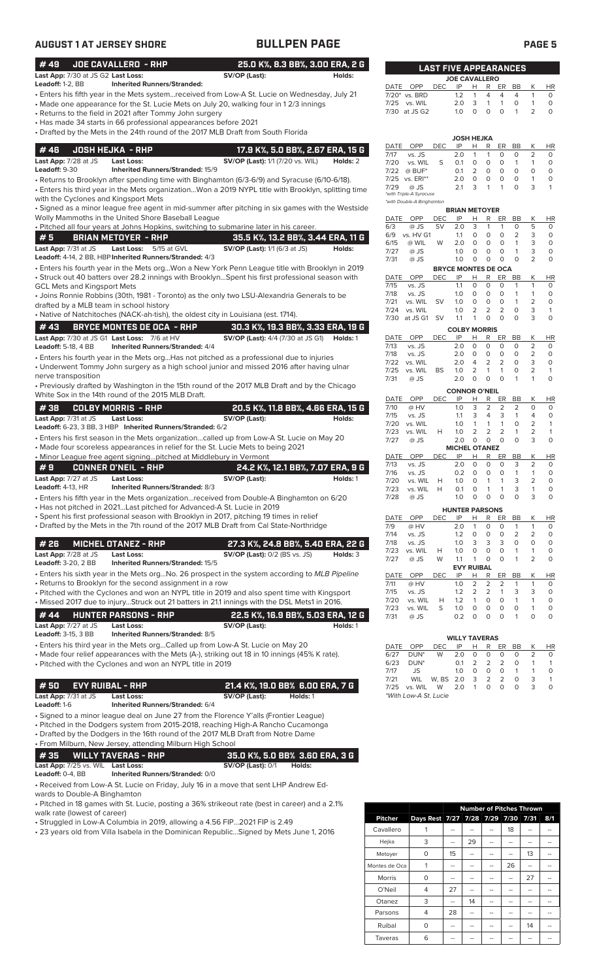| <b>AUGUST 1 AT JERSEY SHORE</b>              |                                                                                    | <b>BULLPEN PAGE</b>                                                                                                                                                                          |                              |              |                                 |                  |            |                                                    |                        |                    | <b>PAGE 5</b>                  |                         |
|----------------------------------------------|------------------------------------------------------------------------------------|----------------------------------------------------------------------------------------------------------------------------------------------------------------------------------------------|------------------------------|--------------|---------------------------------|------------------|------------|----------------------------------------------------|------------------------|--------------------|--------------------------------|-------------------------|
| #49<br>Last App: 7/30 at JS G2 Last Loss:    | <b>JOE CAVALLERO - RHP</b>                                                         | 25.0 K%, 8.3 BB%, 3.00 ERA, 2 G<br>SV/OP (Last):                                                                                                                                             | <b>LAST FIVE APPEARANCES</b> |              |                                 |                  |            |                                                    |                        |                    |                                |                         |
| Leadoff: 1-2, BB                             | <b>Inherited Runners/Stranded:</b>                                                 |                                                                                                                                                                                              | Holds:                       |              | DATE OPP                        |                  |            | <b>JOE CAVALLERO</b>                               |                        |                    |                                |                         |
|                                              |                                                                                    | • Enters his fifth year in the Mets systemreceived from Low-A St. Lucie on Wednesday, July 21                                                                                                |                              |              | 7/20* vs. BRD                   | <b>DEC</b>       | IP<br>1.2  | H<br>4<br>$\mathbf{1}$                             | R ER<br>$\overline{4}$ | BB<br>4            | K<br>$\mathbf{1}$              | <b>HR</b><br>$\circ$    |
|                                              |                                                                                    | • Made one appearance for the St. Lucie Mets on July 20, walking four in 12/3 innings                                                                                                        |                              |              | 7/25 vs. WIL                    |                  | 2.0        | 3<br>$\mathbf{1}$                                  | $\mathbf{1}$           | 0                  | $\mathbf{1}$                   | $\circ$                 |
|                                              | • Returns to the field in 2021 after Tommy John surgery                            |                                                                                                                                                                                              |                              |              | 7/30 at JS G2                   |                  | 1.0        | $\circ$<br>0                                       | $\circ$                | $\mathbf{1}$       | $\overline{2}$                 | $\Omega$                |
|                                              | • Has made 34 starts in 66 professional appearances before 2021                    |                                                                                                                                                                                              |                              |              |                                 |                  |            |                                                    |                        |                    |                                |                         |
|                                              |                                                                                    | • Drafted by the Mets in the 24th round of the 2017 MLB Draft from South Florida                                                                                                             |                              |              |                                 |                  |            | <b>JOSH HEJKA</b>                                  |                        |                    |                                |                         |
| #46                                          | <b>JOSH HEJKA - RHP</b>                                                            | 17.9 K%, 5.0 BB%, 2.67 ERA, 15 G                                                                                                                                                             |                              |              | DATE OPP                        | DEC              | IP         | н<br>R                                             | ER                     | BB                 | Κ                              | HR                      |
| Last App: 7/28 at JS                         | <b>Last Loss:</b>                                                                  | <b>SV/OP (Last):</b> 1/1 (7/20 vs. WIL)                                                                                                                                                      | Holds: 2                     | 7/17<br>7/20 | vs. JS<br>vs. WIL               | S                | 2.0<br>0.1 | $\mathbf{1}$<br>$\mathbf{1}$<br>$\circ$<br>$\circ$ | 0<br>0                 | 0<br>$\mathbf{1}$  | $\overline{2}$<br>$\mathbf{1}$ | 0<br>$\circ$            |
| Leadoff: 9-30                                | Inherited Runners/Stranded: 15/9                                                   |                                                                                                                                                                                              |                              | 7/22         | $@$ BUF*                        |                  | 0.1        | 2<br>$\circ$                                       | $\circ$                | $\circ$            | $\circ$                        | $\circ$                 |
|                                              |                                                                                    | • Returns to Brooklyn after spending time with Binghamton (6/3-6/9) and Syracuse (6/10-6/18).                                                                                                |                              |              | 7/25 vs. ERI**                  |                  | 2.0        | $\mathbf 0$<br>0                                   | 0                      | $\circ$            | $\overline{1}$                 | $\circ$                 |
|                                              |                                                                                    | · Enters his third year in the Mets organizationWon a 2019 NYPL title with Brooklyn, splitting time                                                                                          |                              | 7/29         | @ JS<br>*with Triple-A Syracuse |                  | 2.1        | 3<br>$\mathbf{1}$                                  | $\mathbf{1}$           | $\circ$            | 3                              | 1                       |
| with the Cyclones and Kingsport Mets         |                                                                                    |                                                                                                                                                                                              |                              |              | *with Double-A Binghamton       |                  |            |                                                    |                        |                    |                                |                         |
|                                              |                                                                                    | · Signed as a minor league free agent in mid-summer after pitching in six games with the Westside                                                                                            |                              |              |                                 |                  |            | <b>BRIAN METOYER</b>                               |                        |                    |                                |                         |
|                                              | Wolly Mammoths in the United Shore Baseball League                                 | . Pitched all four years at Johns Hopkins, switching to submarine later in his career.                                                                                                       |                              | 6/3          | DATE OPP<br>@ JS                | DEC<br><b>SV</b> | IP<br>2.0  | R<br>H<br>3<br>1                                   | ER<br>$\mathbf{1}$     | BB<br>0            | Κ<br>5                         | ΗR<br>$\circ$           |
| #5                                           | <b>BRIAN METOYER - RHP</b>                                                         | 35.5 K%, 13.2 BB%, 3.44 ERA, 11 G                                                                                                                                                            |                              |              | 6/9 vs. HV G1                   |                  | 1.1        | 0<br>0                                             | 0                      | 2                  | 3                              | $\circ$                 |
| Last App: 7/31 at JS                         | Last Loss: 5/15 at GVL                                                             | SV/OP (Last): 1/1 (6/3 at JS)                                                                                                                                                                | Holds:                       | 6/15         | @ WIL                           | W                | 2.0        | $\circ$<br>$\circ$                                 | 0                      | $\mathbf{1}$       | 3                              | $\circ$                 |
|                                              | Leadoff: 4-14, 2 BB, HBP Inherited Runners/Stranded: 4/3                           |                                                                                                                                                                                              |                              | 7/27<br>7/31 | @ JS<br>@ JS                    |                  | 1.0<br>1.0 | 0<br>$\circ$<br>0<br>0                             | 0<br>0                 | 1<br>$\circ$       | 3<br>$\overline{2}$            | $\circ$<br>$\circ$      |
|                                              |                                                                                    | · Enters his fourth year in the Mets orgWon a New York Penn League title with Brooklyn in 2019                                                                                               |                              |              |                                 |                  |            | <b>BRYCE MONTES DE OCA</b>                         |                        |                    |                                |                         |
|                                              |                                                                                    | • Struck out 40 batters over 28.2 innings with BrooklynSpent his first professional season with                                                                                              |                              |              | DATE OPP                        | DEC              | IP         | н<br>R                                             | ER                     | BB                 | Κ                              | HR                      |
| <b>GCL Mets and Kingsport Mets</b>           |                                                                                    |                                                                                                                                                                                              |                              | 7/15         | vs. JS                          |                  | 1.1        | $\circ$<br>$\circ$                                 | 0                      | $\mathbf{1}$       | $\mathbf{1}$                   | $\circ$                 |
|                                              |                                                                                    | • Joins Ronnie Robbins (30th, 1981 - Toronto) as the only two LSU-Alexandria Generals to be                                                                                                  |                              | 7/18<br>7/21 | vs. JS<br>vs. WIL               | <b>SV</b>        | 1.0<br>1.0 | 0<br>0<br>$\mathbf 0$<br>$\circ$                   | 0<br>$\circ$           | 1<br>$\mathbf{1}$  | $\mathbf{1}$<br>$\overline{2}$ | 0<br>$\circ$            |
| drafted by a MLB team in school history      |                                                                                    |                                                                                                                                                                                              |                              | 7/24         | vs. WIL                         |                  | 1.0        | 2<br>$\overline{2}$                                | 2                      | $\circ$            | 3                              | $\mathbf{1}$            |
|                                              | • Native of Natchitoches (NACK-ah-tish), the oldest city in Louisiana (est. 1714). |                                                                                                                                                                                              |                              |              | 7/30 at JS G1 SV                |                  | 1.1        | $\circ$<br>$\mathbf{1}$                            | $\Omega$               | $\Omega$           | 3                              | $\Omega$                |
| #43                                          | <b>BRYCE MONTES DE OCA - RHP</b>                                                   | 30.3 K%, 19.3 BB%, 3.33 ERA, 19 G                                                                                                                                                            |                              |              |                                 |                  |            | <b>COLBY MORRIS</b>                                |                        |                    |                                |                         |
| Last App: 7/30 at JS G1 Last Loss: 7/6 at HV |                                                                                    | <b>SV/OP (Last):</b> 4/4 (7/30 at JS G1)                                                                                                                                                     | Holds: 1                     | DATE         | OPP                             | <b>DEC</b>       | IP         | R<br>Н                                             | ER                     | BB                 | К                              | HR                      |
| <b>Leadoff: 5-18, 4 BB</b>                   | <b>Inherited Runners/Stranded: 4/4</b>                                             |                                                                                                                                                                                              |                              | 7/13<br>7/18 | vs. JS<br>vs. JS                |                  | 2.0<br>2.0 | $\mathbf 0$<br>0<br>0<br>0                         | 0<br>0                 | 0<br>0             | 2<br>2                         | 0<br>0                  |
|                                              |                                                                                    | • Enters his fourth year in the Mets orgHas not pitched as a professional due to injuries                                                                                                    |                              | 7/22         | vs. WIL                         |                  | 2.0        | 2<br>$\overline{4}$                                | 2                      | $\circ$            | 3                              | $\circ$                 |
| nerve transposition                          |                                                                                    | • Underwent Tommy John surgery as a high school junior and missed 2016 after having ulnar                                                                                                    |                              | 7/25         | vs. WIL                         | BS               | 1.0        | $\overline{2}$<br>$\mathbf{1}$                     | $\mathbf{1}$           | $\circ$            | $\overline{2}$                 | $\mathbf{1}$            |
|                                              |                                                                                    | • Previously drafted by Washington in the 15th round of the 2017 MLB Draft and by the Chicago                                                                                                |                              | 7/31         | @ JS                            |                  | 2.0        | $\circ$<br>$\circ$                                 | $\circ$                | $\mathbf{1}$       | $\mathbf{1}$                   | $\Omega$                |
|                                              | White Sox in the 14th round of the 2015 MLB Draft.                                 |                                                                                                                                                                                              |                              |              |                                 |                  |            | <b>CONNOR O'NEIL</b>                               |                        |                    |                                |                         |
| #38                                          | <b>COLBY MORRIS - RHP</b>                                                          | 20.5 K%, 11.8 BB%, 4.66 ERA, 15 G                                                                                                                                                            |                              | 7/10         | DATE OPP<br>@ HV                | <b>DEC</b>       | IP<br>1.0  | R<br>H<br>3<br>2                                   | ER<br>2                | BB<br>2            | К<br>0                         | <b>HR</b><br>0          |
| Last App: 7/31 at JS                         | <b>Last Loss:</b>                                                                  | SV/OP (Last):                                                                                                                                                                                | Holds:                       | 7/15         | vs. JS                          |                  | 1.1        | 3<br>4                                             | 3                      | $\mathbf{1}$       | 4                              | 0                       |
|                                              | Leadoff: 6-23, 3 BB, 3 HBP Inherited Runners/Stranded: 6/2                         |                                                                                                                                                                                              |                              | 7/20         | vs. WIL                         |                  | 1.0        | $\mathbf{1}$<br>$\mathbf{1}$                       | $\mathbf{1}$           | $\circ$            | 2                              | $\mathbf{1}$            |
|                                              |                                                                                    | • Enters his first season in the Mets organizationcalled up from Low-A St. Lucie on May 20                                                                                                   |                              | 7/23<br>7/27 | vs. WIL<br>@ JS                 | H                | 1.0<br>2.0 | $\overline{2}$<br>2<br>$\circ$<br>$\circ$          | 2<br>$\Omega$          | 1<br>$\Omega$      | $\overline{2}$<br>3            | $\mathbf{1}$<br>$\circ$ |
|                                              |                                                                                    | • Made four scoreless appearances in relief for the St. Lucie Mets to being 2021                                                                                                             |                              |              |                                 |                  |            | <b>MICHEL OTANEZ</b>                               |                        |                    |                                |                         |
|                                              | • Minor League free agent signingpitched at Middlebury in Vermont                  |                                                                                                                                                                                              |                              | DATE         | OPP                             | <b>DEC</b>       | IP         | R<br>Н                                             | ER                     | BB                 | Κ                              | <b>HR</b>               |
| #9                                           | <b>CONNER O'NEIL - RHP</b>                                                         | 24.2 K%, 12.1 BB%, 7.07 ERA, 9 G                                                                                                                                                             |                              | 7/13<br>7/16 | vs. JS<br>vs. JS                |                  | 2.0<br>0.2 | 0<br>$\circ$<br>0<br>O                             | 0<br>0                 | 3                  | 2                              | 0<br>0                  |
| Last App: 7/27 at JS                         | <b>Last Loss:</b>                                                                  | SV/OP (Last):                                                                                                                                                                                | Holds: 1                     | 7/20         | vs. WIL                         | H                | 1.0        | 0<br>1                                             | $\mathbf{1}$           | 3                  | 2                              | 0                       |
| <b>Leadoff: 4-13, HR</b>                     | <b>Inherited Runners/Stranded: 8/3</b>                                             |                                                                                                                                                                                              |                              | 7/23         | vs. WIL                         | Н                | 0.1        | 0<br>1                                             | $\mathbf{1}$           | 3                  | 1                              | 0                       |
|                                              |                                                                                    | • Enters his fifth year in the Mets organizationreceived from Double-A Binghamton on 6/20                                                                                                    |                              | 7/28         | @ JS                            |                  | 1.0        | 0<br>0                                             | 0                      | 0                  | 3                              | $\circ$                 |
|                                              | • Has not pitched in 2021 Last pitched for Advanced-A St. Lucie in 2019            |                                                                                                                                                                                              |                              |              |                                 |                  |            | <b>HUNTER PARSONS</b>                              |                        |                    |                                |                         |
|                                              |                                                                                    | • Spent his first professional season with Brooklyn in 2017, pitching 19 times in relief<br>• Drafted by the Mets in the 7th round of the 2017 MLB Draft from Cal State-Northridge           |                              | DATE<br>7/9  | OPP<br>@ HV                     | DEC              | IP<br>2.0  | н<br>R<br>0<br>1                                   | ER<br>0                | BB<br>$\mathbf{1}$ | К<br>$\mathbf{1}$              | <b>HR</b><br>0          |
|                                              |                                                                                    |                                                                                                                                                                                              |                              | 7/14         | vs. JS                          |                  | 1.2        | $\circ$<br>0                                       | 0                      | $\overline{2}$     | 2                              | 0                       |
| #26                                          | <b>MICHEL OTANEZ - RHP</b>                                                         | 27.3 K%, 24.8 BB%, 5.40 ERA, 22 G                                                                                                                                                            |                              | 7/18         | vs. JS                          |                  | 1.0        | 3<br>3                                             | 3                      | 0                  | 0                              | 0                       |
| Last App: 7/28 at JS                         | <b>Last Loss:</b>                                                                  | <b>SV/OP (Last): 0/2 (BS vs. JS)</b>                                                                                                                                                         | Holds: 3                     | 7/23<br>7/27 | vs. WIL<br>@ JS                 | Н<br>W           | 1.0<br>1.1 | 0<br>0<br>0<br>1                                   | 0<br>0                 | 1<br>$\mathbf{1}$  | 1<br>$\overline{2}$            | 0<br>0                  |
| <b>Leadoff: 3-20, 2 BB</b>                   | Inherited Runners/Stranded: 15/5                                                   |                                                                                                                                                                                              |                              |              |                                 |                  |            | <b>EVY RUIBAL</b>                                  |                        |                    |                                |                         |
|                                              |                                                                                    | • Enters his sixth year in the Mets orgNo. 26 prospect in the system according to MLB Pipeline                                                                                               |                              | DATE         | OPP                             | DEC              | IP         | R<br>н                                             | ER                     | BB                 | К                              | HR                      |
|                                              | • Returns to Brooklyn for the second assignment in a row                           |                                                                                                                                                                                              |                              | 7/11         | @ HV                            |                  | 1.0        | 2<br>2                                             | 2                      | $\mathbf{1}$       | $\mathbf{1}$                   | 0                       |
|                                              |                                                                                    | • Pitched with the Cyclones and won an NYPL title in 2019 and also spent time with Kingsport<br>• Missed 2017 due to injuryStruck out 21 batters in 21.1 innings with the DSL Mets1 in 2016. |                              | 7/15<br>7/20 | vs. JS<br>vs. WIL               | н                | 1.2<br>1.2 | 2<br>$\overline{2}$<br>$\circ$<br>1                | 1<br>0                 | 3<br>$\mathbf{1}$  | 3<br>$\mathbf{1}$              | 0<br>$\mathbf 0$        |
|                                              |                                                                                    |                                                                                                                                                                                              |                              | 7/23         | vs. WIL                         | S                | 1.0        | 0<br>0                                             | 0                      | 0                  | 1                              | 0                       |
| #44                                          | <b>HUNTER PARSONS - RHP</b>                                                        | 22.5 K%, 16.9 BB%, 5.03 ERA, 12 G                                                                                                                                                            |                              | 7/31         | @ JS                            |                  | 0.2        | $\mathbf 0$<br>0                                   | 0                      | $\mathbf{1}$       | $\circ$                        | $\circ$                 |
| Last App: 7/27 at JS                         | <b>Last Loss:</b>                                                                  | SV/OP (Last):                                                                                                                                                                                | Holds: 1                     |              |                                 |                  |            |                                                    |                        |                    |                                |                         |
| Leadoff: 3-15, 3 BB                          | <b>Inherited Runners/Stranded: 8/5</b>                                             |                                                                                                                                                                                              |                              |              |                                 |                  |            | <b>WILLY TAVERAS</b>                               |                        |                    |                                |                         |
|                                              |                                                                                    | • Enters his third year in the Mets orgCalled up from Low-A St. Lucie on May 20<br>• Made four relief appearances with the Mets (A-), striking out 18 in 10 innings (45% K rate).            |                              | DATE<br>6/27 | OPP<br>DUN <sup>*</sup>         | DEC<br>W         | IP<br>2.0  | Н<br>R<br>0<br>0                                   | ER<br>0                | BB<br>0            | К<br>2                         | HR<br>0                 |
|                                              | • Pitched with the Cyclones and won an NYPL title in 2019                          |                                                                                                                                                                                              |                              | 6/23         | DUN <sup>*</sup>                |                  | 0.1        | 2<br>2                                             | 2                      | 0                  | 1                              | $\mathbf{1}$            |
|                                              |                                                                                    |                                                                                                                                                                                              |                              | 7/17         | JS                              |                  | 1.0        | 0<br>0                                             | 0                      | $\mathbf{1}$       | 1                              | 0                       |
| #50<br><b>EVY RUIBAL - RHP</b>               |                                                                                    | 21.4 K%, 19.0 BB% 6.00 ERA, 7 G                                                                                                                                                              |                              | 7/21<br>7/25 | WIL<br>vs. WIL                  | W, BS<br>W       | 2.0<br>2.0 | 2<br>3<br>$\mathbf{1}$<br>0                        | $\overline{2}$<br>0    | $\circ$<br>$\circ$ | 3<br>3                         | $\mathbf{1}$<br>$\circ$ |
| Last App: 7/31 at JS                         | Last Loss:                                                                         | SV/OP (Last):<br>Holds: 1                                                                                                                                                                    |                              |              | *With Low-A St. Lucie           |                  |            |                                                    |                        |                    |                                |                         |
| Leadoff: 1-6                                 | Inherited Runners/Stranded: 6/4                                                    |                                                                                                                                                                                              |                              |              |                                 |                  |            |                                                    |                        |                    |                                |                         |
|                                              |                                                                                    | · Signed to a minor league deal on June 27 from the Florence Y'alls (Frontier League)                                                                                                        |                              |              |                                 |                  |            |                                                    |                        |                    |                                |                         |
|                                              |                                                                                    | • Pitched in the Dodgers system from 2015-2018, reaching High-A Rancho Cucamonga                                                                                                             |                              |              |                                 |                  |            |                                                    |                        |                    |                                |                         |
|                                              |                                                                                    | • Drafted by the Dodgers in the 16th round of the 2017 MLB Draft from Notre Dame                                                                                                             |                              |              |                                 |                  |            |                                                    |                        |                    |                                |                         |
|                                              | · From Milburn, New Jersey, attending Milburn High School                          |                                                                                                                                                                                              |                              |              |                                 |                  |            |                                                    |                        |                    |                                |                         |
| #35                                          | <b>WILLY TAVERAS - RHP</b>                                                         | 35.0 K%, 5.0 BB% 3.60 ERA, 3 G                                                                                                                                                               |                              |              |                                 |                  |            |                                                    |                        |                    |                                |                         |
| Last App: 7/25 vs. WIL Last Loss:            |                                                                                    | <b>SV/OP (Last): 0/1</b><br>Holds:                                                                                                                                                           |                              |              |                                 |                  |            |                                                    |                        |                    |                                |                         |
| Leadoff: 0-4, BB                             | Inherited Runners/Stranded: 0/0                                                    |                                                                                                                                                                                              |                              |              |                                 |                  |            |                                                    |                        |                    |                                |                         |
|                                              |                                                                                    | • Received from Low-A St. Lucie on Friday, July 16 in a move that sent LHP Andrew Ed-                                                                                                        |                              |              |                                 |                  |            |                                                    |                        |                    |                                |                         |

wards to Double-A Binghamton

• Pitched in 18 games with St. Lucie, posting a 36% strikeout rate (best in career) and a 2.1% walk rate (lowest of career)

• Struggled in Low-A Columbia in 2019, allowing a 4.56 FIP...2021 FIP is 2.49

• 23 years old from Villa Isabela in the Dominican Republic...Signed by Mets June 1, 2016

|                |                                    | <b>Number of Pitches Thrown</b> |    |    |    |    |     |  |  |  |  |  |
|----------------|------------------------------------|---------------------------------|----|----|----|----|-----|--|--|--|--|--|
| <b>Pitcher</b> | Days Rest 7/27 7/28 7/29 7/30 7/31 |                                 |    |    |    |    | 8/1 |  |  |  |  |  |
| Cavallero      |                                    |                                 |    |    | 18 |    |     |  |  |  |  |  |
| Hejka          | 3                                  | --                              | 29 |    |    |    |     |  |  |  |  |  |
| Metoyer        | 0                                  | 15                              |    |    |    | 13 |     |  |  |  |  |  |
| Montes de Oca  | 1                                  | --                              |    | -- | 26 | -- |     |  |  |  |  |  |
| Morris         | O                                  | --                              |    | -- |    | 27 |     |  |  |  |  |  |
| O'Neil         | 4                                  | 27                              |    |    |    |    |     |  |  |  |  |  |
| Otanez         | 3                                  |                                 | 14 |    |    |    |     |  |  |  |  |  |
| Parsons        | 4                                  | 28                              |    |    |    |    |     |  |  |  |  |  |
| Ruibal         | O                                  | --                              |    | -- |    | 14 |     |  |  |  |  |  |
| Taveras        | 6                                  |                                 |    |    |    |    |     |  |  |  |  |  |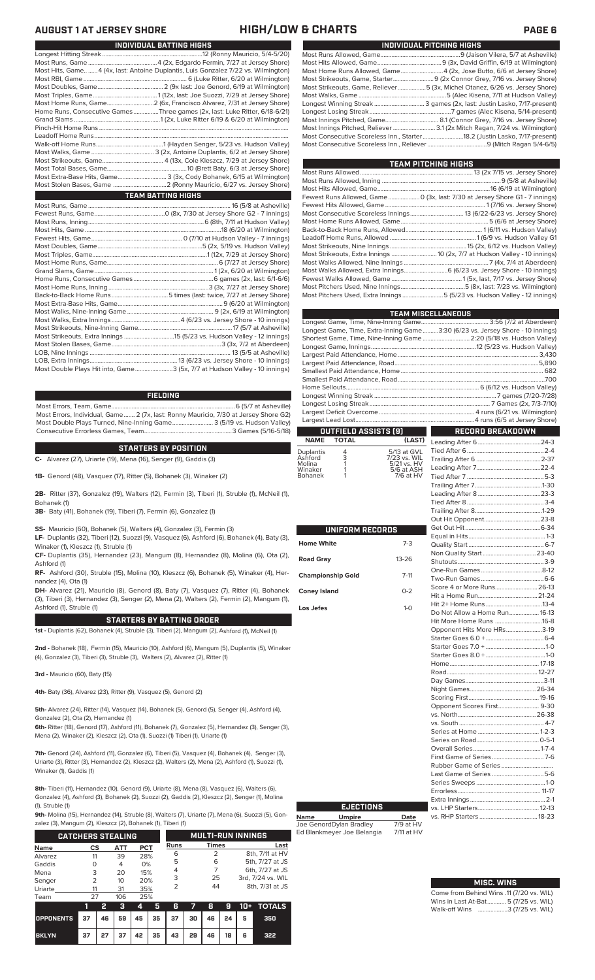### **AUGUST 1 AT JERSEY SHORE HIGH/LOW & CHARTS PAGE 6**

| Most Hits, Game  4 (4x, last: Antoine Duplantis, Luis Gonzalez 7/22 vs. Wilmington) |
|-------------------------------------------------------------------------------------|
|                                                                                     |
|                                                                                     |
|                                                                                     |
|                                                                                     |
| Home Runs, Consecutive GamesThree games (2x, last: Luke Ritter, 6/18-6/21)          |
|                                                                                     |
|                                                                                     |
|                                                                                     |
|                                                                                     |
|                                                                                     |
|                                                                                     |
|                                                                                     |
| Most Extra-Base Hits, Game 3 (3x, Cody Bohanek, 6/15 at Wilmington)                 |
|                                                                                     |
| <b>TEAM BATTING HIGHS</b>                                                           |
|                                                                                     |
|                                                                                     |
|                                                                                     |
|                                                                                     |
|                                                                                     |
|                                                                                     |
| $(1110 - 7100 + 1)$                                                                 |

**INDIVIDUAL BATTING HIGHS**

| Most Double Plays Hit into, Game3 (5x, 7/7 at Hudson Valley - 10 innings) |  |
|---------------------------------------------------------------------------|--|

### **FIELDING**

Most Errors, Team, Game...............................................................................6 (5/7 at Asheville) Most Errors, Individual, Game....... 2 (7x, last: Ronny Mauricio, 7/30 at Jersey Shore G2) Most Double Plays Turned, Nine-Inning Game.......................... 3 (5/19 vs. Hudson Valley) Consecutive Errorless Games, Team...

### **STARTERS BY POSITION**

**C-** Alvarez (27), Uriarte (19), Mena (16), Senger (9), Gaddis (3)

**1B-** Genord (48), Vasquez (17), Ritter (5), Bohanek (3), Winaker (2)

**2B-** Ritter (37), Gonzalez (19), Walters (12), Fermin (3), Tiberi (1), Struble (1), McNeil (1), Bohanek (1)

**3B-** Baty (41), Bohanek (19), Tiberi (7), Fermin (6), Gonzalez (1)

**SS-** Mauricio (60), Bohanek (5), Walters (4), Gonzalez (3), Fermin (3)

**LF-** Duplantis (32), Tiberi (12), Suozzi (9), Vasquez (6), Ashford (6), Bohanek (4), Baty (3), Winaker (1), Kleszcz (1), Struble (1)

**CF-** Duplantis (35), Hernandez (23), Mangum (8), Hernandez (8), Molina (6), Ota (2), Ashford (1)

**RF-** Ashford (30), Struble (15), Molina (10), Kleszcz (6), Bohanek (5), Winaker (4), Hernandez (4), Ota (1)

**DH-** Alvarez (21), Mauricio (8), Genord (8), Baty (7), Vasquez (7), Ritter (4), Bohanek (3), Tiberi (3), Hernandez (3), Senger (2), Mena (2), Walters (2), Fermin (2), Mangum (1), Ashford (1), Struble (1)

### **STARTERS BY BATTING ORDER**

**1st -** Duplantis (62), Bohanek (4), Struble (3), Tiberi (2), Mangum (2), Ashford (1), McNeil (1)

**2nd -** Bohanek (18), Fermin (15), Mauricio (10), Ashford (6), Mangum (5), Duplantis (5), Winaker (4), Gonzalez (3), Tiberi (3), Struble (3), Walters (2), Alvarez (2), Ritter (1)

**3rd -** Mauricio (60), Baty (15)

**4th-** Baty (36), Alvarez (23), Ritter (9), Vasquez (5), Genord (2)

**5th-** Alvarez (24), Ritter (14), Vasquez (14), Bohanek (5), Genord (5), Senger (4), Ashford (4), Gonzalez (2), Ota (2), Hernandez (1)

**6th-** Ritter (18), Genord (17), Ashford (11), Bohanek (7), Gonzalez (5), Hernandez (3), Senger (3), Mena (2), Winaker (2), Kleszcz (2), Ota (1), Suozzi (1) Tiberi (1), Uriarte (1)

**7th-** Genord (24), Ashford (11), Gonzalez (6), Tiberi (5), Vasquez (4), Bohanek (4), Senger (3), Uriarte (3), Ritter (3), Hernandez (2), Kleszcz (2), Walters (2), Mena (2), Ashford (1), Suozzi (1), Winaker (1), Gaddis (1)

**8th-** Tiberi (11), Hernandez (10), Genord (9), Uriarte (8), Mena (8), Vasquez (6), Walters (6), Gonzalez (4), Ashford (3), Bohanek (2), Suozzi (2), Gaddis (2), Kleszcz (2), Senger (1), Molina (1), Struble (1)

**9th-** Molina (15), Hernandez (14), Struble (8), Walters (7), Uriarte (7), Mena (6), Suozzi (5), Gon-

|                                               | zalez (3), Mangum (2), Kleszcz (2), Bohanek (1), Tiberi (1) |    |     |     |             |                          |              |    |                 |                   |               |  |
|-----------------------------------------------|-------------------------------------------------------------|----|-----|-----|-------------|--------------------------|--------------|----|-----------------|-------------------|---------------|--|
| <b>CATCHERS STEALING</b>                      |                                                             |    |     |     |             | <b>MULTI-RUN INNINGS</b> |              |    |                 |                   |               |  |
| <b>ATT</b><br><b>PCT</b><br><b>Name</b><br>CS |                                                             |    |     |     | <b>Runs</b> |                          | <b>Times</b> |    | Last            |                   |               |  |
| Alvarez                                       | 11                                                          |    | 39  |     | 28%         |                          |              | 2  |                 | 8th, 7/11 at HV   |               |  |
| Gaddis                                        | Ω                                                           |    | 4   | 0%  |             | 5                        |              | 6  |                 | 5th, 7/27 at JS   |               |  |
| Mena                                          | 3<br>20                                                     |    | 15% |     | 4           |                          | 7            |    | 6th, 7/27 at JS |                   |               |  |
| Senger                                        | $\mathcal{P}$                                               |    | 10  | 20% |             | 3                        |              | 25 |                 | 3rd, 7/24 vs. WIL |               |  |
| Uriarte                                       | 11                                                          |    | 31  | 35% |             | 2                        |              | 44 |                 | 8th, 7/31 at JS   |               |  |
| Team                                          | 27                                                          |    | 106 | 25% |             |                          |              |    |                 |                   |               |  |
|                                               | 1                                                           | 2  | з   | 4   | 5           | 6                        | 7            | 8  | g               | 10+               | <b>TOTALS</b> |  |
| <b>OPPONENTS</b>                              | 37                                                          | 46 | 59  | 45  | 35          | 37                       | 30           | 46 | 24              | 5                 | 350           |  |

**BKLYN 37 27 37 42 35 43 29 46 18 6 322**

| INDIVIDUAL PITCHING HIGHS |                                                                             |  |  |  |  |  |  |  |  |  |
|---------------------------|-----------------------------------------------------------------------------|--|--|--|--|--|--|--|--|--|
|                           |                                                                             |  |  |  |  |  |  |  |  |  |
|                           |                                                                             |  |  |  |  |  |  |  |  |  |
|                           | Most Home Runs Allowed, Game 4 (2x, Jose Butto, 6/6 at Jersey Shore)        |  |  |  |  |  |  |  |  |  |
|                           |                                                                             |  |  |  |  |  |  |  |  |  |
|                           | Most Strikeouts, Game, Reliever5 (3x, Michel Otanez, 6/26 vs. Jersey Shore) |  |  |  |  |  |  |  |  |  |
|                           |                                                                             |  |  |  |  |  |  |  |  |  |
|                           |                                                                             |  |  |  |  |  |  |  |  |  |
|                           |                                                                             |  |  |  |  |  |  |  |  |  |
|                           |                                                                             |  |  |  |  |  |  |  |  |  |
|                           | Most Innings Pitched, Reliever  3.1 (2x Mitch Ragan, 7/24 vs. Wilmington)   |  |  |  |  |  |  |  |  |  |
|                           | Most Consecutive Scoreless Inn., Starter18.2 (Justin Lasko, 7/17-present)   |  |  |  |  |  |  |  |  |  |
|                           |                                                                             |  |  |  |  |  |  |  |  |  |

| <b>TEAM PITCHING HIGHS</b>                                                  |  |
|-----------------------------------------------------------------------------|--|
|                                                                             |  |
|                                                                             |  |
|                                                                             |  |
| Fewest Runs Allowed, Game 0 (3x, last: 7/30 at Jersey Shore G1 - 7 innings) |  |
|                                                                             |  |
|                                                                             |  |
|                                                                             |  |
|                                                                             |  |
|                                                                             |  |
|                                                                             |  |
| Most Strikeouts, Extra Innings  10 (2x, 7/7 at Hudson Valley - 10 innings)  |  |
|                                                                             |  |
|                                                                             |  |
|                                                                             |  |
|                                                                             |  |
| Most Pitchers Used, Extra Innings 5 (5/23 vs. Hudson Valley - 12 innings)   |  |
|                                                                             |  |

|                   | <b>TEAM MISCELLANEOUS</b> |                           |                                                                                |     |  |  |  |  |  |  |  |
|-------------------|---------------------------|---------------------------|--------------------------------------------------------------------------------|-----|--|--|--|--|--|--|--|
|                   |                           |                           |                                                                                |     |  |  |  |  |  |  |  |
|                   |                           |                           | Longest Game, Time, Extra-Inning Game3:30 (6/23 vs. Jersey Shore - 10 innings) |     |  |  |  |  |  |  |  |
|                   |                           |                           | Shortest Game, Time, Nine-Inning Game  2:20 (5/18 vs. Hudson Valley)           |     |  |  |  |  |  |  |  |
|                   |                           |                           |                                                                                |     |  |  |  |  |  |  |  |
|                   |                           |                           |                                                                                |     |  |  |  |  |  |  |  |
|                   |                           |                           |                                                                                |     |  |  |  |  |  |  |  |
|                   |                           |                           |                                                                                |     |  |  |  |  |  |  |  |
|                   |                           |                           |                                                                                |     |  |  |  |  |  |  |  |
|                   |                           |                           |                                                                                |     |  |  |  |  |  |  |  |
|                   |                           |                           |                                                                                |     |  |  |  |  |  |  |  |
|                   |                           |                           |                                                                                |     |  |  |  |  |  |  |  |
|                   |                           |                           |                                                                                |     |  |  |  |  |  |  |  |
|                   |                           |                           |                                                                                |     |  |  |  |  |  |  |  |
|                   |                           | OUTFIELD ASSISTS [9]      | <b>RECORD BREAKDOWN</b>                                                        |     |  |  |  |  |  |  |  |
| <b>NAME</b>       | <b>TOTAL</b>              | (LAST)                    |                                                                                |     |  |  |  |  |  |  |  |
| Duplantis         | 4                         | 5/13 at GVL               |                                                                                |     |  |  |  |  |  |  |  |
| Ashford<br>Molina | $\frac{3}{1}$             | 7/23 vs. WIL              |                                                                                |     |  |  |  |  |  |  |  |
| Winaker           |                           | 5/21 vs. HV<br>5/6 at ASH |                                                                                |     |  |  |  |  |  |  |  |
| Bohanek           |                           | 7/6 at HV                 |                                                                                |     |  |  |  |  |  |  |  |
|                   |                           |                           | $Trailing \wedge H \sim 7$                                                     | 120 |  |  |  |  |  |  |  |

|                          |           | O                                                            |
|--------------------------|-----------|--------------------------------------------------------------|
| UNIFORM RECORDS          |           | G<br>E)                                                      |
| <b>Home White</b>        | $7-3$     | Q                                                            |
| <b>Road Gray</b>         | $13 - 26$ | N<br>S                                                       |
| <b>Championship Gold</b> | $7 - 11$  | O<br>Ъ                                                       |
| <b>Coney Island</b>      | $0 - 2$   | S<br>Н                                                       |
| Los Jefes                | $1-0$     | $\overline{H}$<br>D<br>$\overline{H}$                        |
|                          |           | O<br>S<br>S <sup>-</sup><br>S <sup>-</sup><br>$\overline{H}$ |
|                          |           | R<br>D<br>N<br>S                                             |
|                          |           | O<br>V.<br>V.                                                |
|                          |           | S<br>S                                                       |
|                          |           | O<br>Fi<br>R                                                 |
|                          |           | Lέ                                                           |
|                          |           | S<br>Er                                                      |

**Name Umpire Date** Joe GenordDylan Bradley 7/9 at HV Ed Blankmeyer Joe Belangia 7/11 at HV

**EJECTIONS**

### Trailing After 7...........................................1-30 Leading After 8 ........................................23-3 Tied After 8................................................. 3-4 Trailing After 8...........................................1-29 ut Hit Opponent. Get Out Hit................................................6-34 Equal in Hits.................................................1-3 ..<br>uality Start ... Non Quality Start..................................23-40 .<br>hutouts.. One-Run Games .......................................8-12 Two-Run Games ........................................6-6 core 4 or More Runs.. Hit a Home Run......................................21-24 it 2+ Home Runs. o Not Allow a Home Run.................... 16-13<br>it More Home Runs ..............................16-8 Hit More Home Runs ..............................16-8 pponent Hits More HRs. Starter Goes 6.0 +.....................................6-4 Starter Goes 7.0 + ......................................1-0 Starter Goes 8.0 + ......................................1-0 lome......<mark>.</mark><br>oad......... 12-27 Day Games..................................................3-11 . .<br>ight Games. Scoring First.............................................19-16 Opponent Scores First.......................... 9-30 . .<br>.. North.... vs. South ...................................................... 4-7 eries at Home .<mark>..</mark> Series on Road........................................0-5-1 Overall Series...........................................1-7-4 irst Game of Series Rubber Game of Series ................................. Last Game of Series .................................5-6 Series Sweeps ............................................1-0 Errorless..................................................... 11-17 Extra Innings... vs. LHP Starters.......................................12-13 vs. RHP Starters ...

## Wins in Last At-Bat............ **MISC. WINS**

Come from Behind Wins .11 (7/20 vs. WIL)<br>Wins in Last At-Bat............ 5 (7/25 vs. WIL) Walk-off Wins ...................3 (7/25 vs. WIL)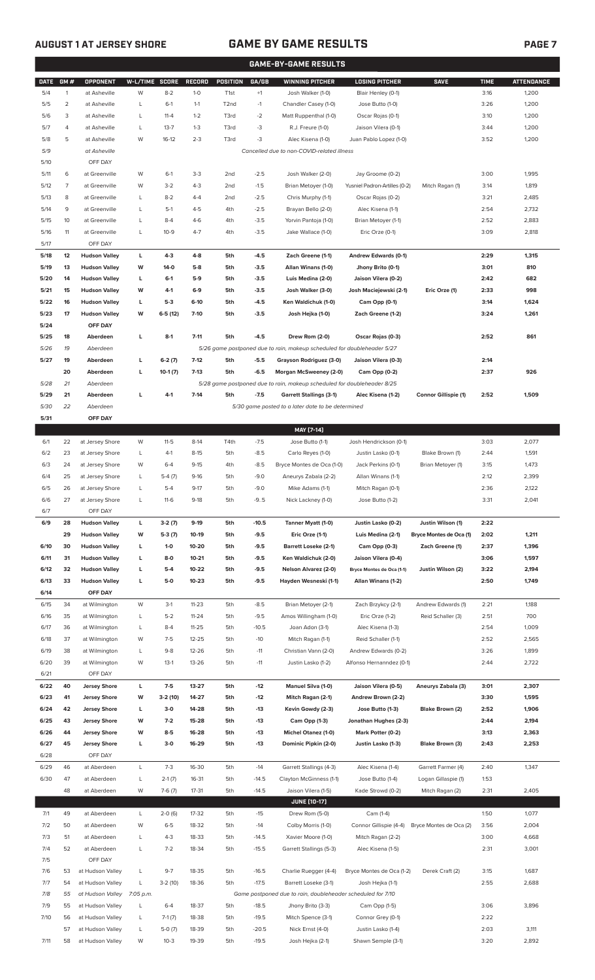## **AUGUST 1 AT JERSEY SHORE GAME BY GAME RESULTS PAGE 7**

|              | <b>GAME-BY-GAME RESULTS</b> |                                      |                |                     |                        |                                    |                  |                                                                                           |                                                   |                                           |              |                   |
|--------------|-----------------------------|--------------------------------------|----------------|---------------------|------------------------|------------------------------------|------------------|-------------------------------------------------------------------------------------------|---------------------------------------------------|-------------------------------------------|--------------|-------------------|
| <b>DATE</b>  | GM#                         | <b>OPPONENT</b>                      | W-L/TIME SCORE |                     | <b>RECORD</b>          | <b>POSITION</b>                    | GA/GB            | <b>WINNING PITCHER</b>                                                                    | <b>LOSING PITCHER</b>                             | <b>SAVE</b>                               | <b>TIME</b>  | <b>ATTENDANCE</b> |
| 5/4          | $\mathbf{1}$                | at Asheville                         | W              | $8 - 2$             | $1 - 0$                | T <sub>1st</sub>                   | $+1$             | Josh Walker (1-0)                                                                         | Blair Henley (0-1)                                |                                           | 3:16         | 1,200             |
| 5/5          | 2                           | at Asheville                         | L              | $6-1$               | $1 - 1$                | T <sub>2</sub> nd                  | $-1$             | Chandler Casey (1-0)                                                                      | Jose Butto (1-0)                                  |                                           | 3:26         | 1,200             |
| 5/6          | 3                           | at Asheville                         | L              | $11 - 4$            | $1 - 2$                | T3rd                               | $-2$             | Matt Ruppenthal (1-0)                                                                     | Oscar Rojas (0-1)                                 |                                           | 3:10         | 1,200             |
| 5/7          | 4                           | at Asheville                         | L              | $13 - 7$            | $1 - 3$                | T3rd                               | -3               | R.J. Freure (1-0)                                                                         | Jaison Vilera (0-1)                               |                                           | 3:44         | 1,200             |
| 5/8          | 5                           | at Asheville                         | W              | $16-12$             | $2 - 3$                | T3rd                               | -3               | Alec Kisena (1-0)                                                                         | Juan Pablo Lopez (1-0)                            |                                           | 3:52         | 1,200             |
| 5/9          |                             | at Asheville                         |                |                     |                        |                                    |                  | Cancelled due to non-COVID-related illness                                                |                                                   |                                           |              |                   |
| 5/10         |                             | OFF DAY                              |                |                     |                        |                                    |                  | Josh Walker (2-0)                                                                         |                                                   |                                           |              |                   |
| 5/11<br>5/12 | 6<br>7                      | at Greenville<br>at Greenville       | W<br>W         | $6-1$<br>$3 - 2$    | $3-3$<br>$4 - 3$       | 2 <sub>nd</sub><br>2 <sub>nd</sub> | $-2.5$<br>$-1.5$ | Brian Metoyer (1-0)                                                                       | Jay Groome (0-2)<br>Yusniel Padron-Artilles (0-2) | Mitch Ragan (1)                           | 3:00<br>3:14 | 1,995<br>1,819    |
| 5/13         | 8                           | at Greenville                        | L              | $8 - 2$             | $4 - 4$                | 2 <sub>nd</sub>                    | $-2.5$           | Chris Murphy (1-1)                                                                        | Oscar Rojas (0-2)                                 |                                           | 3:21         | 2,485             |
| 5/14         | 9                           | at Greenville                        | L              | $5-1$               | $4 - 5$                | 4th                                | $-2.5$           | Brayan Bello (2-0)                                                                        | Alec Kisena (1-1)                                 |                                           | 2:54         | 2,732             |
| 5/15         | 10                          | at Greenville                        | L              | $8 - 4$             | $4-6$                  | 4th                                | $-3.5$           | Yorvin Pantoja (1-0)                                                                      | Brian Metoyer (1-1)                               |                                           | 2:52         | 2,883             |
| 5/16         | 11                          | at Greenville                        | L              | $10 - 9$            | $4 - 7$                | 4th                                | $-3.5$           | Jake Wallace (1-0)                                                                        | Eric Orze (0-1)                                   |                                           | 3:09         | 2,818             |
| 5/17         |                             | OFF DAY                              |                |                     |                        |                                    |                  |                                                                                           |                                                   |                                           |              |                   |
| 5/18         | 12                          | <b>Hudson Valley</b>                 | г              | $4 - 3$             | $4 - 8$                | 5th                                | $-4.5$           | Zach Greene (1-1)                                                                         | Andrew Edwards (0-1)                              |                                           | 2:29         | 1,315             |
| 5/19         | 13                          | <b>Hudson Valley</b>                 | W              | 14-0                | $5-8$                  | 5th                                | $-3.5$           | Allan Winans (1-0)                                                                        | Jhony Brito (0-1)                                 |                                           | 3:01         | 810               |
| 5/20         | 14                          | <b>Hudson Valley</b>                 | L              | $6-1$               | $5-9$                  | 5th                                | $-3.5$           | Luis Medina (2-0)                                                                         | Jaison Vilera (0-2)                               |                                           | 2:42         | 682               |
| 5/21         | 15                          | <b>Hudson Valley</b>                 | W              | $4-1$               | $6-9$                  | 5th                                | $-3.5$           | Josh Walker (3-0)                                                                         | Josh Maciejewski (2-1)                            | Eric Orze (1)                             | 2:33         | 998               |
| 5/22         | 16                          | <b>Hudson Valley</b>                 | L              | $5-3$               | $6-10$                 | 5th                                | $-4.5$           | Ken Waldichuk (1-0)                                                                       | Cam Opp (0-1)                                     |                                           | 3:14         | 1,624             |
| 5/23         | 17                          | <b>Hudson Valley</b>                 | W              | 6-5 (12)            | $7 - 10$               | 5th                                | $-3.5$           | Josh Hejka (1-0)                                                                          | Zach Greene (1-2)                                 |                                           | 3:24         | 1,261             |
| 5/24         | 18                          | OFF DAY                              | г              | $8-1$               | $7 - 11$               | 5th                                | $-4.5$           |                                                                                           |                                                   |                                           | 2:52         | 861               |
| 5/25<br>5/26 | 19                          | Aberdeen<br>Aberdeen                 |                |                     |                        |                                    |                  | Drew Rom (2-0)<br>5/26 game postponed due to rain, makeup scheduled for doubleheader 5/27 | Oscar Rojas (0-3)                                 |                                           |              |                   |
| 5/27         | 19                          | Aberdeen                             | г              | $6-2(7)$            | $7-12$                 | 5th                                | $-5.5$           | Grayson Rodriguez (3-0)                                                                   | Jaison Vilera (0-3)                               |                                           | 2:14         |                   |
|              | 20                          | Aberdeen                             | г              | $10-1(7)$           | $7-13$                 | 5th                                | $-6.5$           | Morgan McSweeney (2-0)                                                                    | Cam Opp (0-2)                                     |                                           | 2:37         | 926               |
| 5/28         | 21                          | Aberdeen                             |                |                     |                        |                                    |                  | 5/28 game postponed due to rain, makeup scheduled for doubleheader 8/25                   |                                                   |                                           |              |                   |
| 5/29         | 21                          | Aberdeen                             | г              | $4-1$               | $7-14$                 | 5th                                | $-7.5$           | <b>Garrett Stallings (3-1)</b>                                                            | Alec Kisena (1-2)                                 | <b>Connor Gillispie (1)</b>               | 2:52         | 1,509             |
| 5/30         | 22                          | Aberdeen                             |                |                     |                        |                                    |                  | 5/30 game posted to a later date to be determined                                         |                                                   |                                           |              |                   |
| 5/31         |                             | OFF DAY                              |                |                     |                        |                                    |                  |                                                                                           |                                                   |                                           |              |                   |
|              |                             |                                      |                |                     |                        |                                    |                  | MAY [7-14]                                                                                |                                                   |                                           |              |                   |
| 6/1          | 22                          | at Jersey Shore                      | W              | $11 - 5$            | $8-14$                 | T4th                               | $-7.5$           | Jose Butto (1-1)                                                                          | Josh Hendrickson (0-1)                            |                                           | 3:03         | 2,077             |
| 6/2          | 23                          | at Jersey Shore                      | L              | $4-1$               | $8 - 15$               | 5th                                | $-8.5$           | Carlo Reyes (1-0)                                                                         | Justin Lasko (0-1)                                | Blake Brown (1)                           | 2:44         | 1,591             |
| 6/3          | 24                          | at Jersey Shore                      | W              | $6 - 4$             | $9 - 15$               | 4th                                | $-8.5$           | Bryce Montes de Oca (1-0)                                                                 | Jack Perkins (0-1)                                | Brian Metoyer (1)                         | 3:15         | 1,473             |
| 6/4<br>6/5   | 25<br>26                    | at Jersey Shore                      | L              | $5-4(7)$<br>$5 - 4$ | $9-16$<br>$9 - 17$     | 5th<br>5th                         | $-9.0$<br>$-9.0$ | Aneurys Zabala (2-2)                                                                      | Allan Winans (1-1)                                |                                           | 2:12<br>2:36 | 2,399             |
| 6/6          | 27                          | at Jersey Shore<br>at Jersey Shore   | L<br>Г         | $11-6$              | $9-18$                 | 5th                                | $-9.5$           | Mike Adams (1-1)<br>Nick Lackney (1-0)                                                    | Mitch Ragan (0-1)<br>Jose Butto (1-2)             |                                           | 3:31         | 2,122<br>2,041    |
| 6/7          |                             | OFF DAY                              |                |                     |                        |                                    |                  |                                                                                           |                                                   |                                           |              |                   |
| 6/9          | 28                          | <b>Hudson Valley</b>                 | L              | $3-2(7)$            | $9-19$                 | 5th                                | $-10.5$          | Tanner Myatt (1-0)                                                                        | Justin Lasko (0-2)                                | Justin Wilson (1)                         | 2:22         |                   |
|              | 29                          | <b>Hudson Valley</b>                 | W              | $5-3(7)$            | $10-19$                | 5th                                | $-9.5$           | Eric Orze (1-1)                                                                           | Luis Medina (2-1)                                 | Bryce Montes de Oca (1)                   | 2:02         | 1,211             |
| 6/10         | 30                          | <b>Hudson Valley</b>                 | L              | $1 - 0$             | 10-20                  | 5th                                | $-9.5$           | <b>Barrett Loseke (2-1)</b>                                                               | Cam Opp (0-3)                                     | Zach Greene (1)                           | 2:37         | 1,396             |
| 6/11         | 31                          | <b>Hudson Valley</b>                 | г              | $8-0$               | $10 - 21$              | 5th                                | $-9.5$           | Ken Waldichuk (2-0)                                                                       | Jaison Vilera (0-4)                               |                                           | 3:06         | 1,597             |
| 6/12         | 32                          | <b>Hudson Valley</b>                 | L              | $5 - 4$             | $10 - 22$              | 5th                                | $-9.5$           | Nelson Alvarez (2-0)                                                                      | Bryce Montes de Oca (1-1)                         | Justin Wilson (2)                         | 3:22         | 2,194             |
| 6/13         | 33                          | <b>Hudson Valley</b>                 | г              | $5-0$               | $10 - 23$              | 5th                                | $-9.5$           | Hayden Wesneski (1-1)                                                                     | Allan Winans (1-2)                                |                                           | 2:50         | 1,749             |
| 6/14         |                             | OFF DAY                              |                |                     |                        |                                    |                  |                                                                                           |                                                   |                                           |              |                   |
| 6/15<br>6/16 | 34<br>35                    | at Wilmington<br>at Wilmington       | W<br>L         | $3-1$<br>$5 - 2$    | $11 - 23$<br>$11 - 24$ | 5th<br>5th                         | $-8.5$<br>$-9.5$ | Brian Metoyer (2-1)<br>Amos Willingham (1-0)                                              | Zach Brzykcy (2-1)<br>Eric Orze (1-2)             | Andrew Edwards (1)<br>Reid Schaller (3)   | 2:21<br>2:51 | 1,188<br>700      |
| 6/17         | 36                          | at Wilmington                        | L              | $8 - 4$             | $11 - 25$              | 5th                                | $-10.5$          | Joan Adon (3-1)                                                                           | Alec Kisena (1-3)                                 |                                           | 2:54         | 1,009             |
| 6/18         | 37                          | at Wilmington                        | W              | $7-5$               | $12 - 25$              | 5th                                | $-10$            | Mitch Ragan (1-1)                                                                         | Reid Schaller (1-1)                               |                                           | 2:52         | 2,565             |
| 6/19         | 38                          | at Wilmington                        | L              | $9 - 8$             | 12-26                  | 5th                                | $-11$            | Christian Vann (2-0)                                                                      | Andrew Edwards (0-2)                              |                                           | 3:26         | 1,899             |
| 6/20         | 39                          | at Wilmington                        | W              | $13-1$              | $13 - 26$              | 5th                                | $-11$            | Justin Lasko (1-2)                                                                        | Alfonso Hernanndez (0-1)                          |                                           | 2:44         | 2,722             |
| 6/21         |                             | OFF DAY                              |                |                     |                        |                                    |                  |                                                                                           |                                                   |                                           |              |                   |
| 6/22         | 40                          | <b>Jersey Shore</b>                  | L              | $7-5$               | $13 - 27$              | 5th                                | $-12$            | <b>Manuel Silva (1-0)</b>                                                                 | Jaison Vilera (0-5)                               | Aneurys Zabala (3)                        | 3:01         | 2,307             |
| 6/23         | 41                          | <b>Jersey Shore</b>                  | W              | 3-2 (10)            | 14-27                  | 5th                                | $-12$            | Mitch Ragan (2-1)                                                                         | Andrew Brown (2-2)                                |                                           | 3:30         | 1,595             |
| 6/24         | 42                          | <b>Jersey Shore</b>                  | L              | $3-0$               | 14-28                  | 5th                                | $-13$            | Kevin Gowdy (2-3)                                                                         | Jose Butto (1-3)                                  | Blake Brown (2)                           | 2:52         | 1,906             |
| 6/25         | 43                          | <b>Jersey Shore</b>                  | W              | $7-2$               | 15-28                  | 5th                                | $-13$            | Cam Opp (1-3)                                                                             | Jonathan Hughes (2-3)                             |                                           | 2:44         | 2,194             |
| 6/26         | 44                          | <b>Jersey Shore</b>                  | W              | $8 - 5$             | 16-28                  | 5th                                | $-13$            | <b>Michel Otanez (1-0)</b>                                                                | Mark Potter (0-2)                                 |                                           | 3:13         | 2,363             |
| 6/27         | 45                          | <b>Jersey Shore</b>                  | г              | $3-0$               | 16-29                  | 5th                                | $-13$            | Dominic Pipkin (2-0)                                                                      | Justin Lasko (1-3)                                | Blake Brown (3)                           | 2:43         | 2,253             |
| 6/28         |                             | OFF DAY                              |                |                     |                        |                                    |                  |                                                                                           |                                                   |                                           |              |                   |
| 6/29<br>6/30 | 46<br>47                    | at Aberdeen<br>at Aberdeen           | L<br>L         | $7-3$<br>$2-1(7)$   | 16-30<br>16-31         | 5th<br>5th                         | $-14$<br>$-14.5$ | Garrett Stallings (4-3)<br>Clayton McGinness (1-1)                                        | Alec Kisena (1-4)<br>Jose Butto (1-4)             | Garrett Farmer (4)<br>Logan Gillaspie (1) | 2:40<br>1:53 | 1,347             |
|              | 48                          | at Aberdeen                          | W              | $7-6(7)$            | $17 - 31$              | 5th                                | $-14.5$          | Jaison Vilera (1-5)                                                                       | Kade Strowd (0-2)                                 | Mitch Ragan (2)                           | 2:31         | 2,405             |
|              |                             |                                      |                |                     |                        |                                    |                  | <b>JUNE [10-17]</b>                                                                       |                                                   |                                           |              |                   |
| 7/1          | 49                          | at Aberdeen                          | L              | $2-0(6)$            | 17-32                  | 5th                                | $-15$            | Drew Rom (5-0)                                                                            | Cam (1-4)                                         |                                           | 1:50         | 1,077             |
| 7/2          | 50                          | at Aberdeen                          | W              | $6 - 5$             | 18-32                  | 5th                                | $-14$            | Colby Morris (1-0)                                                                        | Connor Gillispie (4-4)                            | Bryce Montes de Oca (2)                   | 3:56         | 2,004             |
| 7/3          | 51                          | at Aberdeen                          | L              | $4 - 3$             | 18-33                  | 5th                                | $-14.5$          | Xavier Moore (1-0)                                                                        | Mitch Ragan (2-2)                                 |                                           | 3:00         | 4,668             |
| 7/4          | 52                          | at Aberdeen                          | L              | $7 - 2$             | 18-34                  | 5th                                | $-15.5$          | Garrett Stallings (5-3)                                                                   | Alec Kisena (1-5)                                 |                                           | 2:31         | 3,001             |
| 7/5          |                             | OFF DAY                              |                |                     |                        |                                    |                  |                                                                                           |                                                   |                                           |              |                   |
| 7/6          | 53                          | at Hudson Valley                     | L              | $9 - 7$             | 18-35                  | 5th                                | $-16.5$          | Charlie Ruegger (4-4)                                                                     | Bryce Montes de Oca (1-2)                         | Derek Craft (2)                           | 3:15         | 1,687             |
| 7/7          | 54                          | at Hudson Valley                     | L              | $3-2(10)$           | 18-36                  | 5th                                | $-17.5$          | Barrett Loseke (3-1)                                                                      | Josh Hejka (1-1)                                  |                                           | 2:55         | 2,688             |
| 7/8          | 55                          | at Hudson Valley                     | 7:05 p.m.      |                     |                        |                                    |                  | Game postponed due to rain, doubleheader scheduled for 7/10                               |                                                   |                                           |              |                   |
| 7/9<br>7/10  | 55<br>56                    | at Hudson Valley<br>at Hudson Valley | L              | $6 - 4$             | 18-37<br>18-38         | 5th<br>5th                         | $-18.5$          | Jhony Brito (3-3)                                                                         | Cam Opp (1-5)                                     |                                           | 3:06<br>2:22 | 3,896             |
|              |                             |                                      | L              | $7-1(7)$            |                        |                                    | $-19.5$          | Mitch Spence (3-1)                                                                        | Connor Grey (0-1)                                 |                                           |              |                   |

57 at Hudson Valley L 5-0 (7) 18-39 5th -20.5 Nick Ernst (4-0) Justin Lasko (1-4) 2:03 3,111 7/11 58 at Hudson Valley W 10-3 19-39 5th -19.5 Josh Hejka (2-1) Shawn Semple (3-1) 3:20 2,892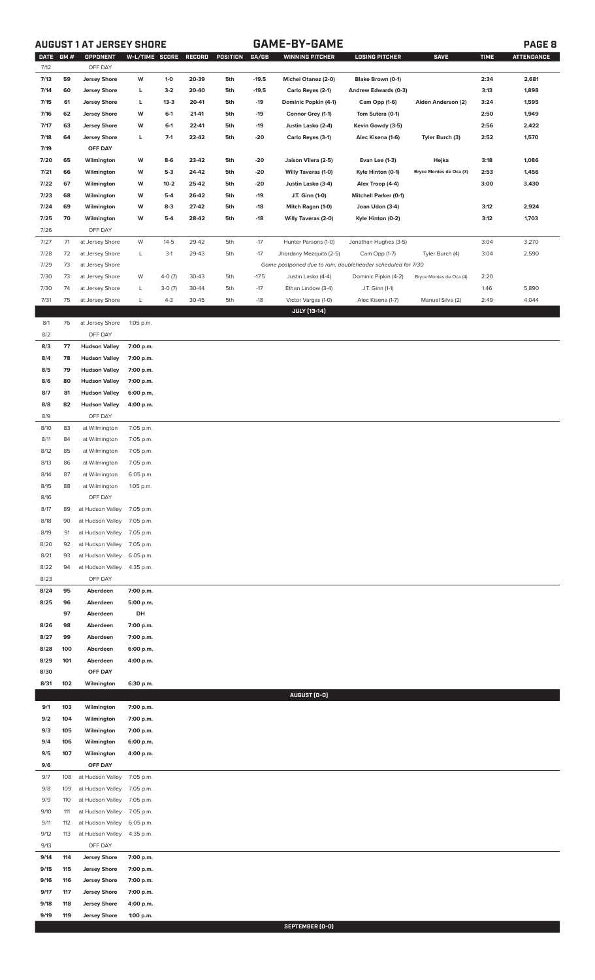## **AUGUST 1 AT JERSEY SHORE GAME-BY-GAME PAGE 8**

| <b>DATE</b><br>7/12 | GM#      | OPPONENT<br>OFF DAY                          | W-L/TIME SCORE         |                   | RECORD         | POSITION   | GA/GB        | <b>WINNING PITCHER</b>                                      | <b>LOSING PITCHER</b>                            | <b>SAVE</b>             | <b>TIME</b> | <b>ATTENDANCE</b> |
|---------------------|----------|----------------------------------------------|------------------------|-------------------|----------------|------------|--------------|-------------------------------------------------------------|--------------------------------------------------|-------------------------|-------------|-------------------|
| 7/13                | 59       | <b>Jersey Shore</b>                          | W                      | $1-0$             | 20-39          | 5th        | $-19.5$      | Michel Otanez (2-0)                                         | Blake Brown (0-1)                                |                         | 2:34        | 2,681             |
| 7/14                | 60       | <b>Jersey Shore</b>                          | L                      | $3-2$             | 20-40          | 5th        | $-19.5$      | Carlo Reyes (2-1)                                           | Andrew Edwards (0-3)                             |                         | 3:13        | 1,898             |
| 7/15                | 61       | <b>Jersey Shore</b>                          | L                      | $13-3$            | 20-41          | 5th        | $-19$        | Dominic Popkin (4-1)                                        | Cam Opp (1-6)                                    | Aiden Anderson (2)      | 3:24        | 1,595             |
| 7/16                | 62       | <b>Jersey Shore</b>                          | W                      | $6-1$             | 21-41          | 5th        | $-19$        | Connor Grey (1-1)                                           | Tom Sutera (0-1)                                 |                         | 2:50        | 1,949             |
| 7/17                | 63       | <b>Jersey Shore</b>                          | W                      | $6-1$             | 22-41          | 5th        | $-19$        | Justin Lasko (2-4)                                          | Kevin Gowdy (3-5)                                |                         | 2:56        | 2,422             |
| 7/18                | 64       | <b>Jersey Shore</b>                          | L                      | $7-1$             | 22-42          | 5th        | -20          | Carlo Reyes (3-1)                                           | Alec Kisena (1-6)                                | Tyler Burch (3)         | 2:52        | 1,570             |
| 7/19                |          | OFF DAY                                      |                        |                   |                |            |              |                                                             |                                                  |                         |             |                   |
| 7/20                | 65       | Wilmington                                   | W                      | $8-6$             | 23-42          | 5th        | -20          | Jaison Vilera (2-5)                                         | Evan Lee (1-3)                                   | Hejka                   | 3:18        | 1,086             |
| 7/21                | 66       | Wilmington                                   | W                      | $5-3$             | 24-42          | 5th        | -20          | Willy Taveras (1-0)                                         | Kyle Hinton (0-1)                                | Bryce Montes de Oca (3) | 2:53        | 1,456             |
| 7/22<br>7/23        | 67<br>68 | Wilmington<br>Wilmington                     | W<br>W                 | $10 - 2$<br>$5-4$ | 25-42<br>26-42 | 5th<br>5th | -20<br>$-19$ | Justin Lasko (3-4)<br>J.T. Ginn (1-0)                       | Alex Troop (4-4)<br><b>Mitchell Parker (0-1)</b> |                         | 3:00        | 3,430             |
| 7/24                | 69       | Wilmington                                   | W                      | $8-3$             | 27-42          | 5th        | $-18$        | Mitch Ragan (1-0)                                           | Joan Udon (3-4)                                  |                         | 3:12        | 2,924             |
| 7/25                | 70       | Wilmington                                   | W                      | $5-4$             | 28-42          | 5th        | $-18$        | Willy Taveras (2-0)                                         | Kyle Hinton (0-2)                                |                         | 3:12        | 1,703             |
| 7/26                |          | OFF DAY                                      |                        |                   |                |            |              |                                                             |                                                  |                         |             |                   |
| 7/27                | 71       | at Jersey Shore                              | W                      | $14 - 5$          | 29-42          | 5th        | $-17$        | Hunter Parsons (1-0)                                        | Jonathan Hughes (3-5)                            |                         | 3:04        | 3,270             |
| 7/28                | 72       | at Jersey Shore                              | L                      | $3-1$             | 29-43          | 5th        | $-17$        | Jhordany Mezquita (2-5)                                     | Cam Opp (1-7)                                    | Tyler Burch (4)         | 3:04        | 2,590             |
| 7/29                | 73       | at Jersey Shore                              |                        |                   |                |            |              | Game postponed due to rain, doubleheader scheduled for 7/30 |                                                  |                         |             |                   |
| 7/30                | 73       | at Jersey Shore                              | W                      | $4-0(7)$          | 30-43          | 5th        | $-17.5$      | Justin Lasko (4-4)                                          | Dominic Pipkin (4-2)                             | Bryce Montes de Oca (4) | 2:20        |                   |
| 7/30                | 74       | at Jersey Shore                              | L                      | $3-0(7)$          | 30-44          | 5th        | $-17$        | Ethan Lindow (3-4)                                          | J.T. Ginn (1-1)                                  |                         | 1:46        | 5,890             |
| 7/31                | 75       | at Jersey Shore                              | L                      | $4 - 3$           | 30-45          | 5th        | $-18$        | Victor Vargas (1-0)<br><b>JULY [13-14]</b>                  | Alec Kisena (1-7)                                | Manuel Silva (2)        | 2:49        | 4,044             |
| 8/1                 | 76       | at Jersey Shore                              | 1:05 p.m.              |                   |                |            |              |                                                             |                                                  |                         |             |                   |
| 8/2                 |          | OFF DAY                                      |                        |                   |                |            |              |                                                             |                                                  |                         |             |                   |
| 8/3                 | 77       | <b>Hudson Valley</b>                         | 7:00 p.m.              |                   |                |            |              |                                                             |                                                  |                         |             |                   |
| 8/4                 | 78       | <b>Hudson Valley</b>                         | 7:00 p.m.              |                   |                |            |              |                                                             |                                                  |                         |             |                   |
| 8/5                 | 79       | <b>Hudson Valley</b>                         | 7:00 p.m.              |                   |                |            |              |                                                             |                                                  |                         |             |                   |
| 8/6                 | 80       | <b>Hudson Valley</b>                         | 7:00 p.m.              |                   |                |            |              |                                                             |                                                  |                         |             |                   |
| 8/7<br>8/8          | 81<br>82 | <b>Hudson Valley</b><br><b>Hudson Valley</b> | 6:00 p.m.<br>4:00 p.m. |                   |                |            |              |                                                             |                                                  |                         |             |                   |
| 8/9                 |          | OFF DAY                                      |                        |                   |                |            |              |                                                             |                                                  |                         |             |                   |
| 8/10                | 83       | at Wilmington                                | 7:05 p.m.              |                   |                |            |              |                                                             |                                                  |                         |             |                   |
| 8/11                | 84       | at Wilmington                                | 7:05 p.m.              |                   |                |            |              |                                                             |                                                  |                         |             |                   |
| 8/12                | 85       | at Wilmington                                | 7:05 p.m.              |                   |                |            |              |                                                             |                                                  |                         |             |                   |
| 8/13                | 86       | at Wilmington                                | 7:05 p.m.              |                   |                |            |              |                                                             |                                                  |                         |             |                   |
| 8/14                | 87       | at Wilmington                                | 6:05 p.m.              |                   |                |            |              |                                                             |                                                  |                         |             |                   |
| 8/15<br>8/16        | 88       | at Wilmington<br>OFF DAY                     | 1:05 p.m.              |                   |                |            |              |                                                             |                                                  |                         |             |                   |
| 8/17                | 89       | at Hudson Valley                             | 7:05 p.m.              |                   |                |            |              |                                                             |                                                  |                         |             |                   |
| 8/18                | 90       | at Hudson Valley                             | 7:05 p.m.              |                   |                |            |              |                                                             |                                                  |                         |             |                   |
| 8/19                | 91       | at Hudson Valley                             | 7:05 p.m.              |                   |                |            |              |                                                             |                                                  |                         |             |                   |
| 8/20                | 92       | at Hudson Valley                             | 7:05 p.m.              |                   |                |            |              |                                                             |                                                  |                         |             |                   |
| 8/21                | 93       | at Hudson Valley                             | 6:05 p.m.              |                   |                |            |              |                                                             |                                                  |                         |             |                   |
| 8/22                | 94       | at Hudson Valley                             | 4:35 p.m.              |                   |                |            |              |                                                             |                                                  |                         |             |                   |
| 8/23<br>8/24        | 95       | OFF DAY<br>Aberdeen                          | 7:00 p.m.              |                   |                |            |              |                                                             |                                                  |                         |             |                   |
| 8/25                | 96       | Aberdeen                                     | 5:00 p.m.              |                   |                |            |              |                                                             |                                                  |                         |             |                   |
|                     | 97       | Aberdeen                                     | DH                     |                   |                |            |              |                                                             |                                                  |                         |             |                   |
| 8/26                | 98       | Aberdeen                                     | 7:00 p.m.              |                   |                |            |              |                                                             |                                                  |                         |             |                   |
| 8/27                | 99       | Aberdeen                                     | 7:00 p.m.              |                   |                |            |              |                                                             |                                                  |                         |             |                   |
| 8/28                | 100      | Aberdeen                                     | 6:00 p.m.              |                   |                |            |              |                                                             |                                                  |                         |             |                   |
| 8/29                | 101      | Aberdeen                                     | 4:00 p.m.              |                   |                |            |              |                                                             |                                                  |                         |             |                   |
| 8/30<br>8/31        | 102      | OFF DAY<br>Wilmington                        | 6:30 p.m.              |                   |                |            |              |                                                             |                                                  |                         |             |                   |
|                     |          |                                              |                        |                   |                |            |              | AUGUST (0-0)                                                |                                                  |                         |             |                   |
| 9/1                 | 103      | Wilmington                                   | 7:00 p.m.              |                   |                |            |              |                                                             |                                                  |                         |             |                   |
| 9/2                 | 104      | Wilmington                                   | 7:00 p.m.              |                   |                |            |              |                                                             |                                                  |                         |             |                   |
| 9/3                 | 105      | Wilmington                                   | 7:00 p.m.              |                   |                |            |              |                                                             |                                                  |                         |             |                   |
| 9/4                 | 106      | Wilmington                                   | 6:00 p.m.              |                   |                |            |              |                                                             |                                                  |                         |             |                   |
| 9/5                 | 107      | Wilmington                                   | 4:00 p.m.              |                   |                |            |              |                                                             |                                                  |                         |             |                   |
| 9/6<br>9/7          | 108      | OFF DAY<br>at Hudson Valley                  | 7:05 p.m.              |                   |                |            |              |                                                             |                                                  |                         |             |                   |
| 9/8                 | 109      | at Hudson Valley                             | 7:05 p.m.              |                   |                |            |              |                                                             |                                                  |                         |             |                   |
| 9/9                 | 110      | at Hudson Valley                             | 7:05 p.m.              |                   |                |            |              |                                                             |                                                  |                         |             |                   |
| 9/10                | 111      | at Hudson Valley                             | 7:05 p.m.              |                   |                |            |              |                                                             |                                                  |                         |             |                   |
| 9/11                | 112      | at Hudson Valley                             | 6:05 p.m.              |                   |                |            |              |                                                             |                                                  |                         |             |                   |
| 9/12                | 113      | at Hudson Valley                             | 4:35 p.m.              |                   |                |            |              |                                                             |                                                  |                         |             |                   |
| 9/13<br>9/14        | 114      | OFF DAY<br><b>Jersey Shore</b>               | 7:00 p.m.              |                   |                |            |              |                                                             |                                                  |                         |             |                   |
| 9/15                | 115      | <b>Jersey Shore</b>                          | 7:00 p.m.              |                   |                |            |              |                                                             |                                                  |                         |             |                   |
| 9/16                | 116      | <b>Jersey Shore</b>                          | 7:00 p.m.              |                   |                |            |              |                                                             |                                                  |                         |             |                   |
| 9/17                | 117      | <b>Jersey Shore</b>                          | 7:00 p.m.              |                   |                |            |              |                                                             |                                                  |                         |             |                   |
| 9/18                | 118      | <b>Jersey Shore</b>                          | 4:00 p.m.              |                   |                |            |              |                                                             |                                                  |                         |             |                   |
| 9/19                | 119      | <b>Jersey Shore</b>                          | 1:00 p.m.              |                   |                |            |              |                                                             |                                                  |                         |             |                   |
|                     |          |                                              |                        |                   |                |            |              | <b>CEDTEMPED (N.M)</b>                                      |                                                  |                         |             |                   |